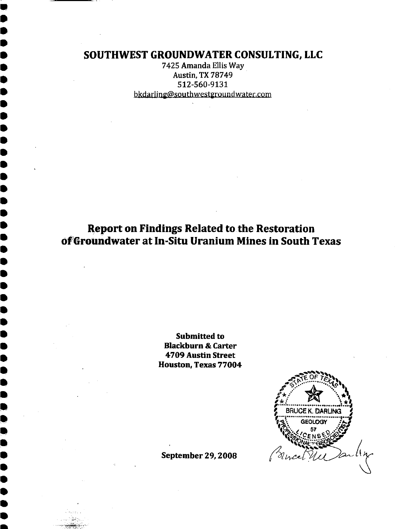# SOUTHWEST GROUNDWATER CONSULTING, LLC

7425 Amanda Ellis Way **Austin, TX 78749** 512-560-9131 bkdarling@southwestgroundwater.com

**Report on Findings Related to the Restoration** of Groundwater at In-Situ Uranium Mines in South Texas

> **Submitted to Blackburn & Carter** 4709 Austin Street Houston, Texas 77004



**September 29, 2008**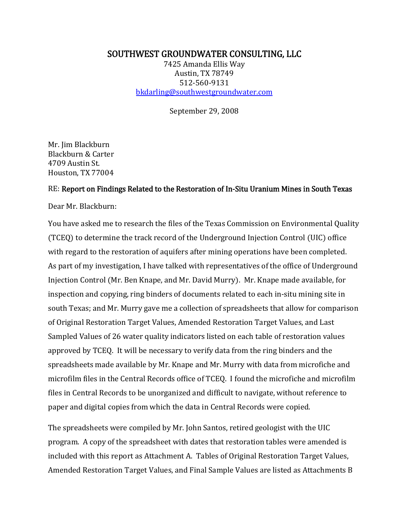## SOUTHWEST GROUNDWATER CONSULTING, LLC

7425 Amanda Ellis Way Austin, TX 78749 512-560-9131 [bkdarling@southwestgroundwater.com](mailto:bkdarling@southwestgroundwater.com)

September 29, 2008

Mr. Jim Blackburn Blackburn & Carter 4709 Austin St. Houston, TX 77004

#### RE: Report on Findings Related to the Restoration of In-Situ Uranium Mines in South Texas

Dear Mr. Blackburn:

You have asked me to research the files of the Texas Commission on Environmental Quality (TCEQ) to determine the track record of the Underground Injection Control (UIC) office with regard to the restoration of aquifers after mining operations have been completed. As part of my investigation, I have talked with representatives of the office of Underground Injection Control (Mr. Ben Knape, and Mr. David Murry). Mr. Knape made available, for inspection and copying, ring binders of documents related to each in-situ mining site in south Texas; and Mr. Murry gave me a collection of spreadsheets that allow for comparison of Original Restoration Target Values, Amended Restoration Target Values, and Last Sampled Values of 26 water quality indicators listed on each table of restoration values approved by TCEQ. It will be necessary to verify data from the ring binders and the spreadsheets made available by Mr. Knape and Mr. Murry with data from microfiche and microfilm files in the Central Records office of TCEQ. I found the microfiche and microfilm files in Central Records to be unorganized and difficult to navigate, without reference to paper and digital copies from which the data in Central Records were copied.

The spreadsheets were compiled by Mr. John Santos, retired geologist with the UIC program. A copy of the spreadsheet with dates that restoration tables were amended is included with this report as Attachment A. Tables of Original Restoration Target Values, Amended Restoration Target Values, and Final Sample Values are listed as Attachments B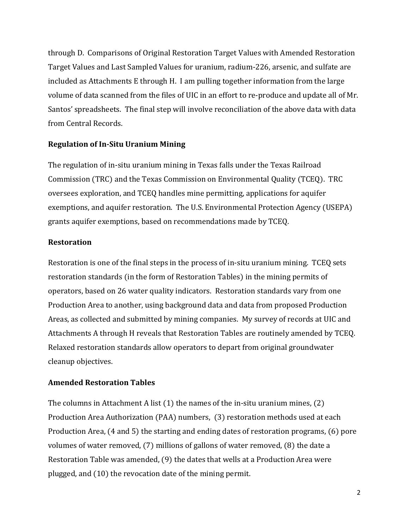through D. Comparisons of Original Restoration Target Values with Amended Restoration Target Values and Last Sampled Values for uranium, radium-226, arsenic, and sulfate are included as Attachments E through H. I am pulling together information from the large volume of data scanned from the files of UIC in an effort to re-produce and update all of Mr. Santos' spreadsheets. The final step will involve reconciliation of the above data with data from Central Records.

## **Regulation of In-Situ Uranium Mining**

The regulation of in-situ uranium mining in Texas falls under the Texas Railroad Commission (TRC) and the Texas Commission on Environmental Quality (TCEQ). TRC oversees exploration, and TCEQ handles mine permitting, applications for aquifer exemptions, and aquifer restoration. The U.S. Environmental Protection Agency (USEPA) grants aquifer exemptions, based on recommendations made by TCEQ.

## **Restoration**

Restoration is one of the final steps in the process of in-situ uranium mining. TCEQ sets restoration standards (in the form of Restoration Tables) in the mining permits of operators, based on 26 water quality indicators. Restoration standards vary from one Production Area to another, using background data and data from proposed Production Areas, as collected and submitted by mining companies. My survey of records at UIC and Attachments A through H reveals that Restoration Tables are routinely amended by TCEQ. Relaxed restoration standards allow operators to depart from original groundwater cleanup objectives.

## **Amended Restoration Tables**

The columns in Attachment A list (1) the names of the in-situ uranium mines, (2) Production Area Authorization (PAA) numbers, (3) restoration methods used at each Production Area, (4 and 5) the starting and ending dates of restoration programs, (6) pore volumes of water removed, (7) millions of gallons of water removed, (8) the date a Restoration Table was amended, (9) the dates that wells at a Production Area were plugged, and (10) the revocation date of the mining permit.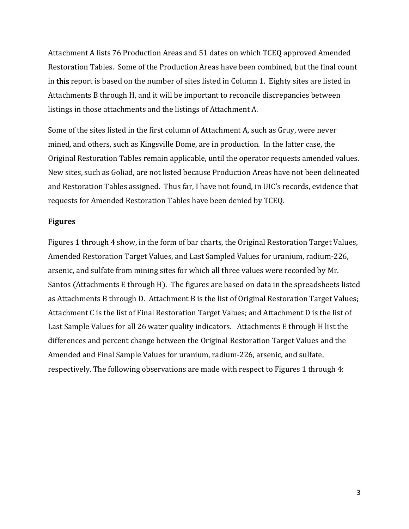Attachment A lists 76 Production Areas and 51 dates on which TCEQ approved Amended Restoration Tables. Some of the Production Areas have been combined, but the final count in this report is based on the number of sites listed in Column 1. Eighty sites are listed in Attachments B through H, and it will be important to reconcile discrepancies between listings in those attachments and the listings of Attachment A.

Some of the sites listed in the first column of Attachment A, such as Gruy, were never mined, and others, such as Kingsville Dome, are in production. In the latter case, the Original Restoration Tables remain applicable, until the operator requests amended values. New sites, such as Goliad, are not listed because Production Areas have not been delineated and Restoration Tables assigned. Thus far, I have not found, in UIC's records, evidence that requests for Amended Restoration Tables have been denied by TCEQ.

#### **Figures**

Figures 1 through 4 show, in the form of bar charts, the Original Restoration Target Values, Amended Restoration Target Values, and Last Sampled Values for uranium, radium-226, arsenic, and sulfate from mining sites for which all three values were recorded by Mr. Santos (Attachments E through H). The figures are based on data in the spreadsheets listed as Attachments B through D. Attachment B is the list of Original Restoration Target Values; Attachment C is the list of Final Restoration Target Values; and Attachment D is the list of Last Sample Values for all 26 water quality indicators. Attachments E through H list the differences and percent change between the Original Restoration Target Values and the Amended and Final Sample Values for uranium, radium-226, arsenic, and sulfate, respectively. The following observations are made with respect to Figures 1 through 4: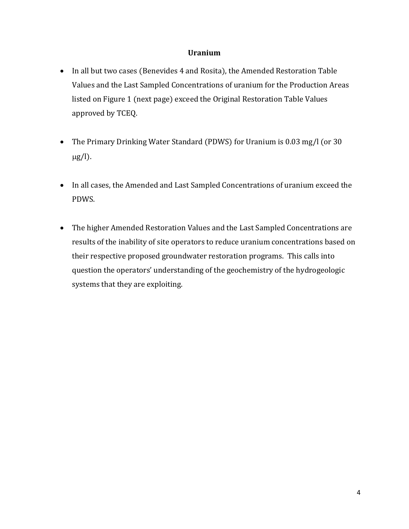### **Uranium**

- In all but two cases (Benevides 4 and Rosita), the Amended Restoration Table Values and the Last Sampled Concentrations of uranium for the Production Areas listed on Figure 1 (next page) exceed the Original Restoration Table Values approved by TCEQ.
- The Primary Drinking Water Standard (PDWS) for Uranium is 0.03 mg/l (or 30  $\mu$ g/l).
- In all cases, the Amended and Last Sampled Concentrations of uranium exceed the PDWS.
- The higher Amended Restoration Values and the Last Sampled Concentrations are results of the inability of site operators to reduce uranium concentrations based on their respective proposed groundwater restoration programs. This calls into question the operators' understanding of the geochemistry of the hydrogeologic systems that they are exploiting.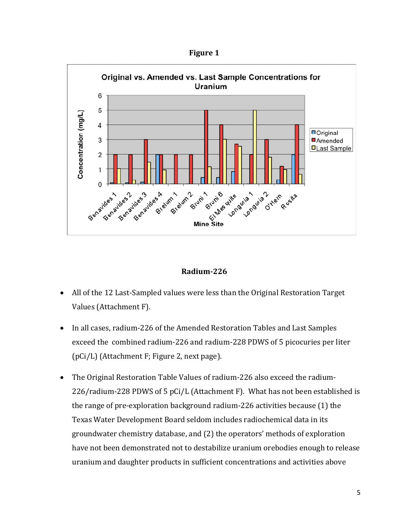





- All of the 12 Last-Sampled values were less than the Original Restoration Target Values (Attachment F).
- In all cases, radium-226 of the Amended Restoration Tables and Last Samples exceed the combined radium-226 and radium-228 PDWS of 5 picocuries per liter (pCi/L) (Attachment F; Figure 2, next page).
- The Original Restoration Table Values of radium-226 also exceed the radium-226/radium-228 PDWS of 5 pCi/L (Attachment F). What has not been established is the range of pre-exploration background radium-226 activities because (1) the Texas Water Development Board seldom includes radiochemical data in its groundwater chemistry database, and (2) the operators' methods of exploration have not been demonstrated not to destabilize uranium orebodies enough to release uranium and daughter products in sufficient concentrations and activities above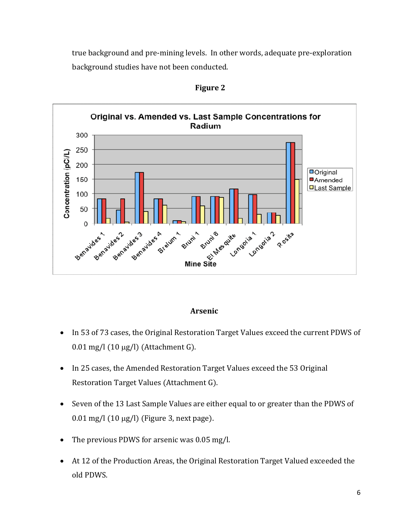true background and pre-mining levels. In other words, adequate pre-exploration background studies have not been conducted.



**Figure 2**

#### **Arsenic**

- In 53 of 73 cases, the Original Restoration Target Values exceed the current PDWS of  $0.01$  mg/l  $(10 \mu g/l)$  (Attachment G).
- In 25 cases, the Amended Restoration Target Values exceed the 53 Original Restoration Target Values (Attachment G).
- Seven of the 13 Last Sample Values are either equal to or greater than the PDWS of  $0.01$  mg/l  $(10 \mu g/l)$  (Figure 3, next page).
- The previous PDWS for arsenic was 0.05 mg/l.
- At 12 of the Production Areas, the Original Restoration Target Valued exceeded the old PDWS.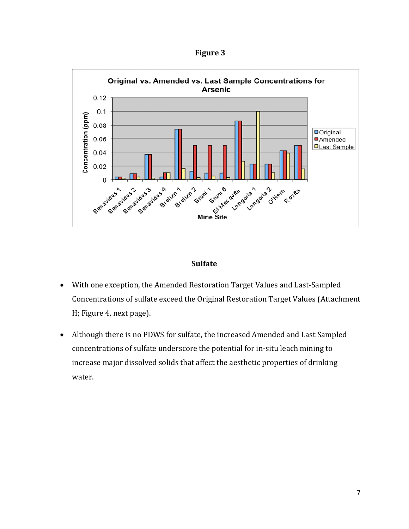



### **Sulfate**

- With one exception, the Amended Restoration Target Values and Last-Sampled Concentrations of sulfate exceed the Original Restoration Target Values (Attachment H; Figure 4, next page).
- Although there is no PDWS for sulfate, the increased Amended and Last Sampled concentrations of sulfate underscore the potential for in-situ leach mining to increase major dissolved solids that affect the aesthetic properties of drinking water.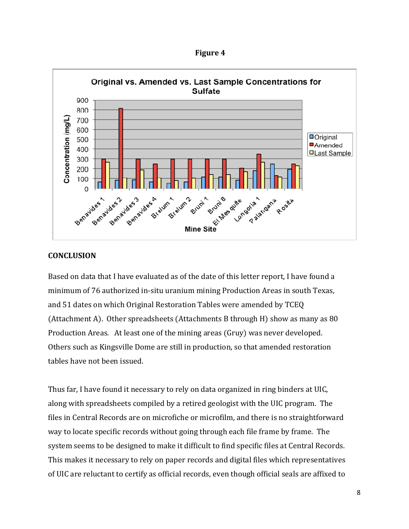**Figure 4**



#### **CONCLUSION**

Based on data that I have evaluated as of the date of this letter report, I have found a minimum of 76 authorized in-situ uranium mining Production Areas in south Texas, and 51 dates on which Original Restoration Tables were amended by TCEQ (Attachment A). Other spreadsheets (Attachments B through H) show as many as 80 Production Areas. At least one of the mining areas (Gruy) was never developed. Others such as Kingsville Dome are still in production, so that amended restoration tables have not been issued.

Thus far, I have found it necessary to rely on data organized in ring binders at UIC, along with spreadsheets compiled by a retired geologist with the UIC program. The files in Central Records are on microfiche or microfilm, and there is no straightforward way to locate specific records without going through each file frame by frame. The system seems to be designed to make it difficult to find specific files at Central Records. This makes it necessary to rely on paper records and digital files which representatives of UIC are reluctant to certify as official records, even though official seals are affixed to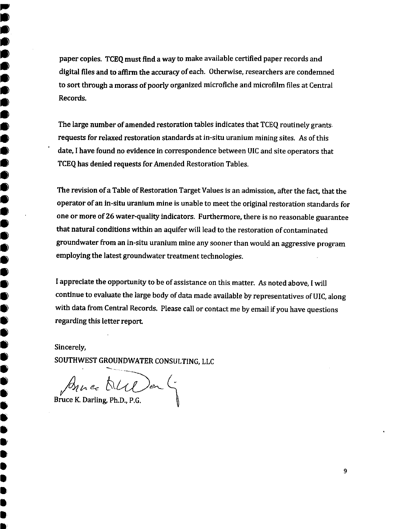paper copies. TCEQ must find a way to make available certified paper records and digital files and to affirm the accuracy of each. Otherwise, researchers are condemned to sort through a morass of poorly organized microfiche and microfilm files at Central Records.

The large number of amended restoration tables indicates that TCEQ routinely grants. requests for relaxed restoration standards at in-situ uranium mining sites. As of this date, I have found no evidence in correspondence between UIC and site operators that TCEQ has denied requests for Amended Restoration Tables.

The revision of a Table of Restoration Target Values is an admission, after the fact, that the operator of an in-situ uranium mine is unable to meet the original restoration standards for one or more of 26 water-quality indicators. Furthermore, there is no reasonable guarantee that natural conditions within an aquifer will lead to the restoration of contaminated groundwater from an in-situ uranium mine any sooner than would an aggressive program employing the latest groundwater treatment technologies.

I appreciate the opportunity to be of assistance on this matter. As noted above, I will continue to evaluate the large body of data made available by representatives of UIC, along with data from Central Records. Please call or contact me by email if you have questions regarding this letter report.

Sincerely,

00000

 $\bullet$ ●

●  $\bullet$ 

 $\bullet$ 

 $\ddot{\bullet}$ 0

 $\bullet$ 

 $\bullet$ 

●

 $\bullet$ 

●

 $\bullet$ 

 $\bullet$  $\bullet$ 

●

 $\bullet$ 

 $\bullet$ Ó

0

0 Ê  $\bullet$  SOUTHWEST GROUNDWATER CONSULTING, LLC

By Le DUDer G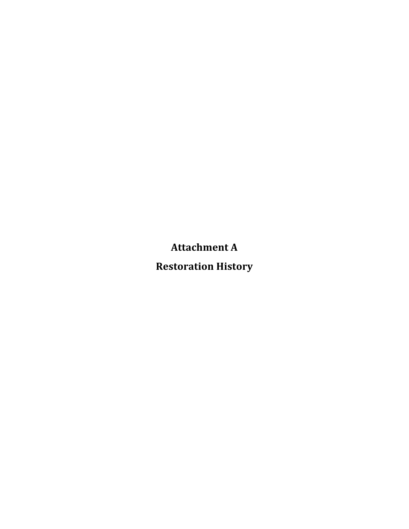**Attachment
A**

**Restoration
History**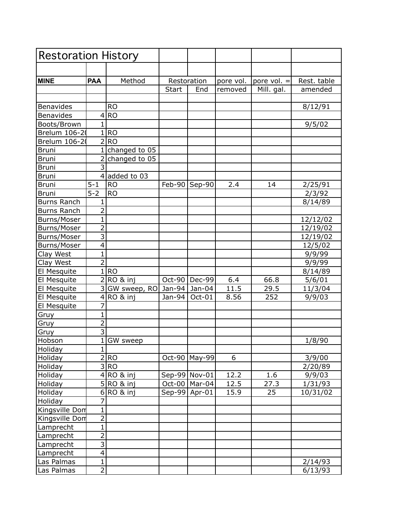| <b>Restoration History</b> |                           |               |              |                 |           |               |             |
|----------------------------|---------------------------|---------------|--------------|-----------------|-----------|---------------|-------------|
|                            |                           |               |              |                 |           |               |             |
| <b>MINE</b>                | <b>PAA</b>                | Method        |              | Restoration     | pore vol. | pore $vol. =$ | Rest. table |
|                            |                           |               | <b>Start</b> | End             | removed   | Mill. gal.    | amended     |
|                            |                           |               |              |                 |           |               |             |
| Benavides                  |                           | <b>RO</b>     |              |                 |           |               | 8/12/91     |
| <b>Benavides</b>           | 4                         | <b>RO</b>     |              |                 |           |               |             |
| Boots/Brown                | $\mathbf{1}$              |               |              |                 |           |               | 9/5/02      |
| Brelum 106-2               | $1\vert$                  | <b>RO</b>     |              |                 |           |               |             |
| Brelum 106-20              | $\overline{2}$            | <b>RO</b>     |              |                 |           |               |             |
| <b>Bruni</b>               | $1\vert$                  | changed to 05 |              |                 |           |               |             |
| <b>Bruni</b>               | $\overline{2}$            | changed to 05 |              |                 |           |               |             |
| <b>Bruni</b>               | $\overline{3}$            |               |              |                 |           |               |             |
| <b>Bruni</b>               | $\vert 4 \vert$           | added to 03   |              |                 |           |               |             |
| <b>Bruni</b>               | $5 - 1$                   | <b>RO</b>     |              | Feb-90 Sep-90   | 2.4       | 14            | 2/25/91     |
| Bruni                      | $5 - 2$                   | <b>RO</b>     |              |                 |           |               | 2/3/92      |
| <b>Burns Ranch</b>         | 1                         |               |              |                 |           |               | 8/14/89     |
| <b>Burns Ranch</b>         | $\overline{2}$            |               |              |                 |           |               |             |
| Burns/Moser                | 1                         |               |              |                 |           |               | 12/12/02    |
| <b>Burns/Moser</b>         | $\overline{2}$            |               |              |                 |           |               | 12/19/02    |
| Burns/Moser                | $\overline{3}$            |               |              |                 |           |               | 12/19/02    |
| Burns/Moser                | $\overline{4}$            |               |              |                 |           |               | 12/5/02     |
| Clay West                  | $\mathbf{1}$              |               |              |                 |           |               | 9/9/99      |
| Clay West                  | $\overline{2}$            |               |              |                 |           |               | 9/9/99      |
| El Mesquite                |                           | 1 RO          |              |                 |           |               | 8/14/89     |
| El Mesquite                |                           | 2 RO & inj    |              | Oct-90   Dec-99 | 6.4       | 66.8          | 5/6/01      |
| El Mesquite                | 3                         | GW sweep, RO  | Jan-94       | Jan-04          | 11.5      | 29.5          | 11/3/04     |
| El Mesquite                | $\vert 4 \vert$           | RO & inj      | Jan-94       | Oct-01          | 8.56      | 252           | 9/9/03      |
| El Mesquite                | 7                         |               |              |                 |           |               |             |
| Gruy                       | $\mathbf 1$               |               |              |                 |           |               |             |
| Gruy                       | $\overline{2}$            |               |              |                 |           |               |             |
| Gruy                       | $\overline{3}$            |               |              |                 |           |               |             |
| Hobson                     | $\mathbf{1}$              | GW sweep      |              |                 |           |               | 1/8/90      |
| Holiday                    | $1\vert$                  |               |              |                 |           |               |             |
| Holiday                    |                           | 2 RO          |              | Oct-90   May-99 | 6         |               | 3/9/00      |
| Holiday                    | $\overline{3}$            | RO)           |              |                 |           |               | 2/20/89     |
| Holiday                    |                           | $4 RO &$ inj  |              | Sep-99 Nov-01   | 12.2      | 1.6           | 9/9/03      |
| Holiday                    |                           | $5$ RO & inj  |              | Oct-00   Mar-04 | 12.5      | 27.3          | 1/31/93     |
| Holiday                    | $6\vert$                  | RO & inj      |              | $Sep-99$ Apr-01 | 15.9      | 25            | 10/31/02    |
| Holiday                    | 7                         |               |              |                 |           |               |             |
| Kingsville Dom             | $\mathbf{1}$              |               |              |                 |           |               |             |
| Kingsville Dom             | $\overline{2}$            |               |              |                 |           |               |             |
| Lamprecht                  | $\overline{1}$            |               |              |                 |           |               |             |
| Lamprecht                  | $\overline{2}$            |               |              |                 |           |               |             |
| Lamprecht                  | $\overline{\overline{3}}$ |               |              |                 |           |               |             |
| Lamprecht                  | $\overline{4}$            |               |              |                 |           |               |             |
| Las Palmas                 | $\mathbf{1}$              |               |              |                 |           |               | 2/14/93     |
| Las Palmas                 | $\overline{2}$            |               |              |                 |           |               | 6/13/93     |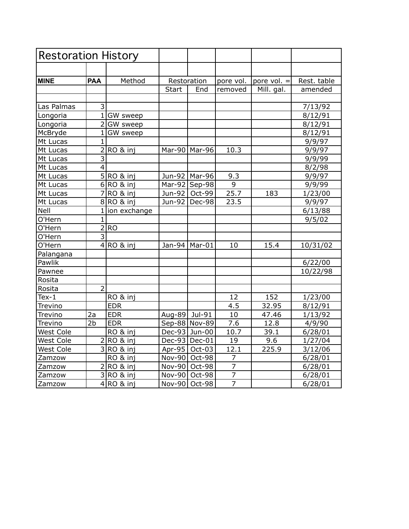| <b>Restoration History</b> |                         |                   |              |                 |                |               |             |  |
|----------------------------|-------------------------|-------------------|--------------|-----------------|----------------|---------------|-------------|--|
|                            |                         |                   |              |                 |                |               |             |  |
| <b>MINE</b>                | <b>PAA</b>              | Method            |              | Restoration     | pore vol.      | pore $vol. =$ | Rest. table |  |
|                            |                         |                   | <b>Start</b> | End             | removed        | Mill. gal.    | amended     |  |
|                            |                         |                   |              |                 |                |               |             |  |
| Las Palmas                 | 3                       |                   |              |                 |                |               | 7/13/92     |  |
| Longoria                   |                         | 1 GW sweep        |              |                 |                |               | 8/12/91     |  |
| Longoria                   | $\overline{2}$          | GW sweep          |              |                 |                |               | 8/12/91     |  |
| McBryde                    | $\mathbf{1}$            | GW sweep          |              |                 |                |               | 8/12/91     |  |
| Mt Lucas                   | $\mathbf{1}$            |                   |              |                 |                |               | 9/9/97      |  |
| Mt Lucas                   | $\overline{2}$          | RO & inj          |              | Mar-90   Mar-96 | 10.3           |               | 9/9/97      |  |
| Mt Lucas                   | $\overline{3}$          |                   |              |                 |                |               | 9/9/99      |  |
| Mt Lucas                   | $\overline{4}$          |                   |              |                 |                |               | 8/2/98      |  |
| Mt Lucas                   | $\overline{5}$          | RO & inj          |              | Jun-92   Mar-96 | 9.3            |               | 9/9/97      |  |
| Mt Lucas                   | 6                       | RO & inj          | Mar-92       | $ Sep-98 $      | 9              |               | 9/9/99      |  |
| Mt Lucas                   | $\overline{7}$          | RO & inj          | Jun-92       | Oct-99          | 25.7           | 183           | 1/23/00     |  |
| Mt Lucas                   | 8                       | RO & inj          | Jun-92       | Dec-98          | 23.5           |               | 9/9/97      |  |
| Nell                       |                         | $1$  ion exchange |              |                 |                |               | 6/13/88     |  |
| O'Hern                     | $\mathbf{1}$            |                   |              |                 |                |               | 9/5/02      |  |
| O'Hern                     | $\overline{2}$          | <b>RO</b>         |              |                 |                |               |             |  |
| O'Hern                     | $\overline{3}$          |                   |              |                 |                |               |             |  |
| O'Hern                     |                         | $4 RO &$ inj      | Jan-94       | Mar-01          | 10             | 15.4          | 10/31/02    |  |
| Palangana                  |                         |                   |              |                 |                |               |             |  |
| Pawlik                     |                         |                   |              |                 |                |               | 6/22/00     |  |
| Pawnee                     |                         |                   |              |                 |                |               | 10/22/98    |  |
| Rosita                     |                         |                   |              |                 |                |               |             |  |
| Rosita                     | $\overline{2}$          |                   |              |                 |                |               |             |  |
| Tex- $1$                   |                         | RO & inj          |              |                 | 12             | 152           | 1/23/00     |  |
| Trevino                    |                         | <b>EDR</b>        |              |                 | 4.5            | 32.95         | 8/12/91     |  |
| Trevino                    | 2a                      | <b>EDR</b>        | Aug-89       | Jul-91          | 10             | 47.46         | 1/13/92     |  |
| Trevino                    | 2 <sub>b</sub>          | <b>EDR</b>        |              | Sep-88 Nov-89   | 7.6            | 12.8          | 4/9/90      |  |
| West Cole                  |                         | RO & inj          |              | Dec-93 Jun-00   | 10.7           | 39.1          | 6/28/01     |  |
| West Cole                  | 2!                      | RO & inj          |              | Dec-93 Dec-01   | 19             | 9.6           | 1/27/04     |  |
| West Cole                  | $\overline{3}$          | RO & ini          |              | Apr-95   Oct-03 | 12.1           | 225.9         | 3/12/06     |  |
| Zamzow                     |                         | RO & inj          |              | Nov-90 Oct-98   | 7              |               | 6/28/01     |  |
| Zamzow                     | 2                       | RO & inj          | $Nov-90$     | Oct-98          | 7              |               | 6/28/01     |  |
| Zamzow                     | $\overline{\mathsf{c}}$ | RO & inj          | $Nov-90$     | Oct-98          | $\overline{7}$ |               | 6/28/01     |  |
| Zamzow                     |                         | $4 RO &$ inj      |              | Nov-90 Oct-98   | $\overline{7}$ |               | 6/28/01     |  |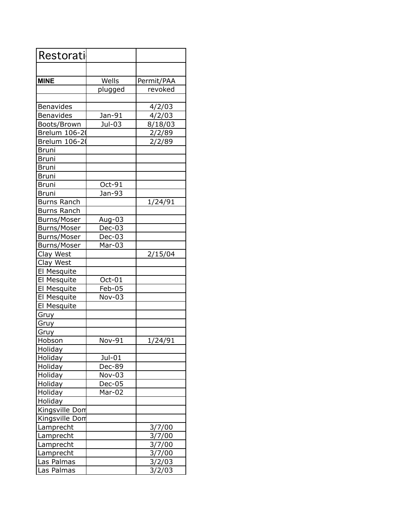| Restorati          |          |            |
|--------------------|----------|------------|
|                    |          |            |
| <b>MINE</b>        | Wells    | Permit/PAA |
|                    | plugged  | revoked    |
|                    |          |            |
| Benavides          |          | 4/2/03     |
| Benavides          | Jan-91   | 4/2/03     |
| Boots/Brown        | Jul-03   | 8/18/03    |
| Brelum 106-20      |          | 2/2/89     |
| Brelum 106-2       |          | 2/2/89     |
| <b>Bruni</b>       |          |            |
| <b>Bruni</b>       |          |            |
| <b>Bruni</b>       |          |            |
| <b>Bruni</b>       |          |            |
| <b>Bruni</b>       | Oct-91   |            |
| <b>Bruni</b>       | Jan-93   |            |
| <b>Burns Ranch</b> |          | 1/24/91    |
| <b>Burns Ranch</b> |          |            |
| Burns/Moser        | Aug-03   |            |
| Burns/Moser        | $Dec-03$ |            |
| Burns/Moser        | Dec-03   |            |
| Burns/Moser        | Mar-03   |            |
| Clay West          |          | 2/15/04    |
| Clay West          |          |            |
| El Mesquite        |          |            |
| El Mesquite        | Oct-01   |            |
| El Mesquite        | Feb-05   |            |
| El Mesquite        | Nov-03   |            |
| El Mesquite        |          |            |
| Gruy               |          |            |
| Gruy               |          |            |
| Gruy               | Nov-91   |            |
| Hobson             |          | 1/24/91    |
| Holiday<br>Holiday | Jul-01   |            |
| Holiday            | Dec-89   |            |
| Holiday            | Nov-03   |            |
| Holiday            | Dec-05   |            |
| Holiday            | Mar-02   |            |
| Holiday            |          |            |
| Kingsville Dom     |          |            |
| Kingsville Dom     |          |            |
| Lamprecht          |          | 3/7/00     |
| Lamprecht          |          | 3/7/00     |
| Lamprecht          |          | 3/7/00     |
| Lamprecht          |          | 3/7/00     |
| Las Palmas         |          | 3/2/03     |
| Las Palmas         |          | 3/2/03     |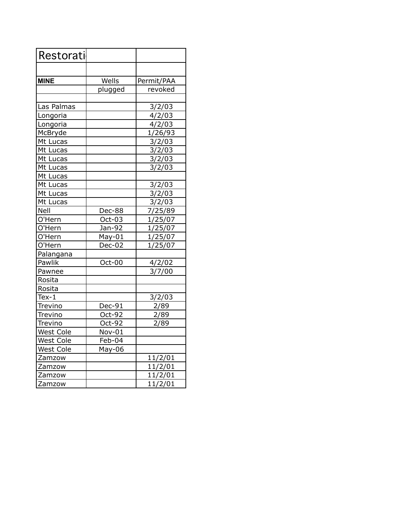| Restorati        |         |                    |
|------------------|---------|--------------------|
|                  |         |                    |
| <b>MINE</b>      | Wells   | Permit/PAA         |
|                  | plugged | revoked            |
|                  |         |                    |
| Las Palmas       |         | 3/2/03             |
| Longoria         |         | 4/2/03             |
| Longoria         |         | 4/2/03             |
| McBryde          |         | 1/26/93            |
| Mt Lucas         |         | 3/2/03             |
| Mt Lucas         |         | 3/2/03             |
| Mt Lucas         |         | 3/2/03             |
| Mt Lucas         |         | 3/2/03             |
| Mt Lucas         |         |                    |
| Mt Lucas         |         | 3/2/03             |
| Mt Lucas         |         | 3/2/03             |
| Mt Lucas         |         | 3/2/03             |
| Nell             | Dec-88  | 7/25/89            |
| O'Hern           | Oct-03  | 1/25/07            |
| O'Hern           | Jan-92  | 1/25/07            |
| O'Hern           | May-01  | 1/25/07            |
| O'Hern           | Dec-02  | 1/25/07            |
| Palangana        |         |                    |
| Pawlik           | Oct-00  | 4/2/02             |
| Pawnee           |         | 3/7/00             |
| Rosita           |         |                    |
| Rosita           |         |                    |
| $Text-1$         |         | 3/2/03             |
| Trevino          | Dec-91  | 2/89               |
| Trevino          | Oct-92  | 2/89               |
| Trevino          | Oct-92  | 2/89               |
| <b>West Cole</b> | Nov-01  |                    |
| <b>West Cole</b> | Feb-04  |                    |
| <b>West Cole</b> | May-06  |                    |
| Zamzow           |         | 11/2/01            |
| Zamzow           |         | 11/2/01            |
| Zamzow           |         | 11/2/01            |
| Zamzow           |         | $\frac{11}{2}$ /01 |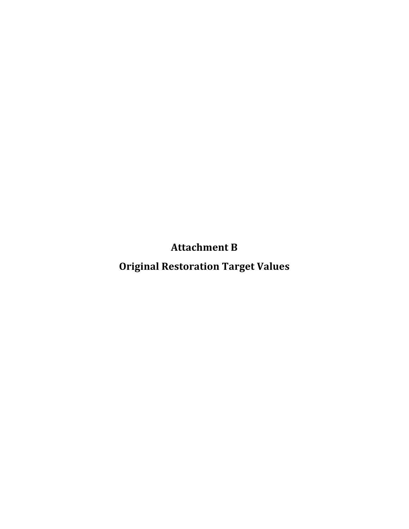**Attachment
B**

**Original
Restoration
Target
Values**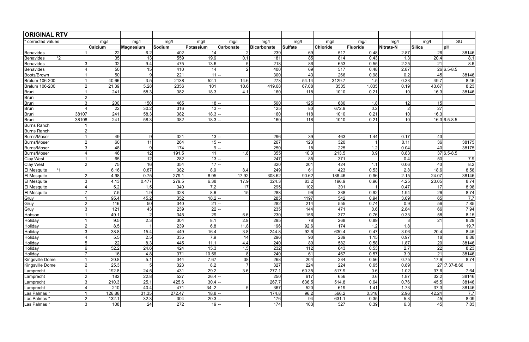| <b>ORIGINAL RTV</b> |                |                |                |               |           |                |                    |                  |                 |          |           |           |                |
|---------------------|----------------|----------------|----------------|---------------|-----------|----------------|--------------------|------------------|-----------------|----------|-----------|-----------|----------------|
| corrected values    |                | mg/l           | mg/l           | mq/l          | mg/l      | mg/l           | mg/l               | mg/l             | mg/l            | mg/l     | mg/l      | mg/l      | SU             |
|                     |                | <b>Calcium</b> | Magnesium      | <b>Sodium</b> | Potassium | Carbonate      | <b>Bicarbonate</b> | Sulfate          | <b>Chloride</b> | Fluoride | Nitrate-N | Silica    | pH             |
| Benavides           |                | 22             | 6.2            | 402           | 14        |                | 239                | 69               | 517             | 0.48     | 2.87      | 26        | 38146          |
| Benavides           | $\mathbf{r}$   | 35             | 13             | 559           | 19.9      | 0.1            | 181                | 85               | 814             | 0.43     | 1.3       | 20.4      | 8.1            |
| Benavides           | 3              | 32             | 9.4            | 475           | 13.6      | 5              | 218                | 86               | 653             | 0.55     | 2.25      | 21        | 8.6            |
| Benavides           | 4              | 50             | 15             | 410           | 14        | $\overline{2}$ | 400                | 69               | 517             | 0.48     | 2.87      |           | $26 6.5-8.5$   |
| Boots/Brown         | 1              | 50             | 9              | 221           | 11        |                | 300                | 43               | 266             | 0.98     | 0.2       | 45        | 38146          |
| Brelum 106-200      |                | 40.66          | 3.5            | 2138          | 52.1      | 14.6           | 273                | 54.14            | 3129.7          | 1.5      | 0.33      | 49.7      | 8.46           |
| Brelum 106-200      | $2\vert$       | 21.39          | 5.28           | 2356          | 101       | 10.6           | 419.08             | 67.08            | 3505            | 1.035    | 0.19      | 43.67     | 8.23           |
| Bruni               |                | 241            | 58.3           | 382           | 18.3      | 4.1            | 160                | 118              | 1010            | 0.21     | 10        | 16.3      | 38146          |
| Bruni               | 2 <sup>2</sup> |                |                |               |           |                |                    |                  |                 |          |           |           |                |
| Bruni               | 3              | 200            | 150            | 465           | $18$ -    |                | 500                | 125              | 680             | 1.8      | 12        | 15        |                |
| Bruni               | $\overline{4}$ | 22             | 30.2           | 316           | 13        |                | 125                | 80               | 672.9           | 0.2      |           | 27        |                |
| Bruni               | 38107          | 241            | 58.3           | 382           | 18.3      |                | 160                | 118              | 1010            | 0.21     | 10        | 16.3      |                |
| Bruni               | 38108          | 241            | 58.3           | 382           | 18.3      |                | 160                | 118              | 1010            | 0.21     | 10        |           | $16.3 6.5-8.5$ |
| Burns Ranch         |                |                |                |               |           |                |                    |                  |                 |          |           |           |                |
| Burns Ranch         | $2\vert$       |                |                |               |           |                |                    |                  |                 |          |           |           |                |
| Burns/Moser         | $\mathbf{1}$   | 49             | 9              | 321           | $ 13 $ -- |                | 296                | 39               | 463             | 1.44     | 0.17      | 43        |                |
| Burns/Moser         | 2 <sup>2</sup> | 60             | 11             | 264           | 15        |                | 267                | $\overline{123}$ | 320             |          | 0.11      | 36        | 38175          |
| Burns/Moser         | 3 <sup>1</sup> | 48             | 9              | 174           |           | $9$ -          | 250                | 18               | 225             | 1.2      | 0.04      | 40        | 38175          |
| Burns/Moser         | $\overline{4}$ | 46             | 12             | 191.5         | 11        | 1.8            | 355                | 10.3             | 213.5           | 0.9      | 0.83      |           | $37 6.5-8.5$   |
| <b>Clay West</b>    |                | 65             | 12             | 282           | 13        |                | 247                | 85               | 371             |          | 0.4       | <b>50</b> | 7.9            |
| <b>Clay West</b>    | 2 <sup>2</sup> | 75             | 16             | 354           | 17        |                | 320                | 201              | 424             | 1.1      | 0.06      | 43        | 8.2            |
| <b>El Mesquite</b>  |                | 6.16           | 0.87           | 382           | 8.9       | 8.4            | 249                | 61               | 423             | 0.53     | 2.8       | 18.6      | 8.58           |
| <b>El Mesquite</b>  | 2 <sup>1</sup> | 4.98           | 0.75           | 279.1         | 8.95      | 17.92          | 308.62             | 90.62            | 186.46          | 0.96     | 2.15      | 24.07     | 38146          |
| El Mesquite         | 3 <sup>1</sup> | 4.13           | 0.477          | 279.5         | 6.38      | 17.9           | 324.3              | 83.2             | 196.9           | 0.96     | 4.25      | 23.05     | 8.74           |
| El Mesquite         | 4              | 5.2            | 1.5            | 340           | 7.2       | 17             | 295                | 102              | 301             |          | 0.47      | 17        | 8.98           |
| <b>El Mesquite</b>  | 7 <sup>1</sup> | 7.5            | 1.9            | 328           | 8.6       | 15             | 288                | 96               | 338             | 0.92     | 1.94      | 26        | 8.74           |
| Gruy                | 1              | 95.4           | 45.2           | 352           | 18.2      |                | 285                | 1197             | 542             | 0.94     | 3.09      | 65        | 7.7            |
| Gruy                | 2 <sup>1</sup> | 116            | 50             | 340           | 21        |                | 282                | 214              | 555             | 0.74     | 0.9       | 56        | 7.85           |
| Gruy                | 3              | 121            | 43             | 239           | 22        |                | 235                | 144              | 471             | 0.6      | 2.84      | 66        | 7.94           |
| Hobson              | 1              | 49.1           | $\overline{2}$ | 345           | 29        | 6.6            | 230                | 156              | 377             | 0.76     | 0.33      | 58        | 8.15           |
| Holiday             |                | 9.5            | 2.3            | 304           | 8.1       | 2.9            | 295                | 78               | 268             | 0.89     |           | 21        | 8.29           |
| Holiday             | 2              | 8.5            | $\vert$ 1      | 239           | 6.8       | 11.8           | 196                | 92.6             | 174             | 1.2      | 1.8       |           | 19.7           |
| Holiday             | 3              | 38.8           | 15.4           | 449           | 16.4      | 3.8            | 244.8              | 92.6             | 630.4           | 0.47     | 3.06      | 20.4      | 8.45           |
| Holiday             | $\overline{4}$ | 5.5            | 2.5            | 335           | 7.9       | 14             | 296                | 90               | 289             | 1.15     | 0.97      | 18        | 8.88           |
| Holiday             | 5 <sup>1</sup> | 22             | 8.3            | 445           | 11.1      | 4.4            | 240                | 80               | 582             | 0.58     | 1.87      | 20        | 38146          |
| Holiday             | $6\vert$       | 52.2           | 24.6           | 424           | 15.3      | 1.5            | 232                | 112              | 643             | 0.53     | 2.7       | 22        | 8.23           |
| Holiday             | $\overline{7}$ | 16             | 4.8            | 371           | 10.56     | 8 <sup>1</sup> | 240                | 61               | 467             | 0.57     | 3.9       | 21        | 38146          |
| Kingsville Dome     | 1              | 20.8           | 5.1            | 344           | 7.67      | 38             | 268                | 204              | 234             | 0.56     | 0.75      | 17.9      | 8.74           |
| Kingsville Dome     | 2 <sup>1</sup> | 25.3           | 5              | 323           | 8.2       |                | 327                | 224              | 224             | 0.65     | 0.89      |           | 27 .7.37-8.66  |
| Lamprecht           | 1              | 192.8          | 24.5           | 431           | 29.2      | 3.6            | 277.1              | 60.35            | 517.9           | 0.6      | 1.02      | 37.6      | 7.64           |
| Lamprecht           | $2\vert$       | 182            | 22.8           | 527           | 26.4      |                | 250                | 617              | 656             | 0.6      | 1.87      | 32.2      | 38146          |
| Lamprecht           | 3 <sup>1</sup> | 210.3          | 25.1           | 425.6         | 30.4      |                | 267.7              | 636.5            | 514.8           | 0.64     | 0.76      | 45.5      | 38146          |
| Lamprecht           | 4              | 210            | 40.4           | 471           | 34.2      | 5 <sup>1</sup> | 367                | 520              | 619             | 1.41     | 1.73      | 37.3      | 38146          |
| Las Palmas *        | 1              | 126.88         | 31.35          | 272.47        | $18.8$ -  |                | 174.8              | 96.2             | 566.2           | 0.318    | 2.96      | 42.24     | 7.7            |
| Las Palmas *        | $2\vert$       | 132.1          | 32.3           | 304           | 20.3      |                | 176                | 94               | 631.1           | 0.35     | 5.3       | 45        | 8.09           |
| Las Palmas *        | 3 <sup>1</sup> | 108            | 24             | 272           | $19$ --   |                | 174                | 103              | 527             | 0.39     | 6.3       | 45        | 7.83           |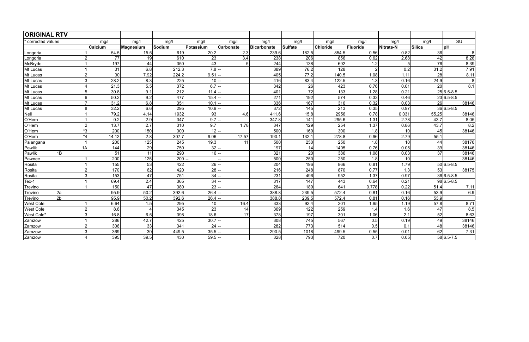| <b>ORIGINAL RTV</b> |                |         |                       |        |           |                  |             |         |          |          |           |                 |                          |
|---------------------|----------------|---------|-----------------------|--------|-----------|------------------|-------------|---------|----------|----------|-----------|-----------------|--------------------------|
| corrected values    |                | mg/l    | mq/l                  | mq/l   | mq/l      | mg/l             | mq/l        | mq/l    | mg/l     | mg/l     | mq/l      | mg/l            | $\overline{\text{SU}}$   |
|                     |                | Calcium | Magnesium             | Sodium | Potassium | <b>Carbonate</b> | Bicarbonate | Sulfate | Chloride | Fluoride | Nitrate-N | Silica          | $\overline{\mathsf{h}}$  |
| Longoria            |                | 54.5    | 15.5                  | 619    | 20.2      | 2.3              | 239.6       | 182.5   | 854.5    | 0.56     | 0.82      | 36              | 8                        |
| Longoria            | 2              | 77      | 19                    | 610    | 23        | 3.4              | 238         | 206     | 856      | 0.62     | 2.68      | 42              | 8.28                     |
| McBryde             |                | 197     | 44                    | 350    | 43        | 5                | 244         | 138     | 692      | 1.2      |           | 76              | 8.39                     |
| Mt Lucas            |                | 31      | 6.8                   | 212.3  | $7.8$ -   |                  | 389         | 76.2    | 128      |          | 0.2       | 31.2            | 7.91                     |
| Mt Lucas            | $\overline{2}$ | 30      | 7.92                  | 224.2  | 9.51      |                  | 405         | 77.2    | 140.5    | 1.08     | 1.11      | 28              | 8.11                     |
| Mt Lucas            | 3              | 28.2    | 8.3                   | 225    | $10$ --   |                  | 416         | 83.4    | 122.5    | 1.3      | 0.16      | 24.9            | 8                        |
| Mt Lucas            | 4              | 21.3    | 5.5                   | 372    | 6.7       |                  | 342         | 26      | 423      | 0.76     | 0.01      | 20 <sup>1</sup> | 8.1                      |
| Mt Lucas            | 5              | 30.8    | 9.1                   | 212    | 11.4      |                  | 401         | 72      | 133      | 1.28     | 0.21      |                 | $\overline{25 6.5}$ -8.5 |
| Mt Lucas            | 6              | 50.2    | 9.2                   | 477    | 15.4      |                  | 271         | 192     | 574      | 0.33     | 0.46      |                 | $23 6.5-8.5$             |
| Mt Lucas            | $\overline{7}$ | 31.2    | 6.8                   | 351    | 10.1      |                  | 336         | 167     | 316      | 0.32     | 0.03      | 26              | 38146                    |
| Mt Lucas            | 8              | 32.2    | 6.6                   | 295    | $10.9$ -  |                  | 372         | 145     | 213      | 0.35     | 0.97      |                 | $36 6.5-8.5$             |
| Nell                |                | 79.2    | 4.14                  | 1932   | 93        | 4.6              | 411.6       | 15.8    | 2956     | 0.78     | 0.031     | 55.25           | 38146                    |
| O'Hern              |                | 0.2     | 2.9                   | 347    | 9.7       |                  | 347.8       | 141     | 295.6    | 1.31     | 2.78      | 43.7            | 8.05                     |
| O'Hern              | $\overline{2}$ | 13.7    | 2.7                   | 310    | 9.7       | 1.78             | 347         | 129     | 254      | 1.37     | 0.86      | 43.7            | 8.2                      |
| O'Hern              | $*3$           | 200     | 150                   | 300    | $12$ -    |                  | 500         | 160     | 300      | 1.8      | 10        | 45              | 38146                    |
| O'Hern              | $*4$           | 14.12   | 2.8                   | 307.7  | 9.06      | 17.57            | 190.1       | 132.1   | 278.8    | 0.96     | 2.79      | 55.1            |                          |
| Palangana           |                | 200     | 125                   | 245    | 19.3      | 11               | 500         | 250     | 250      | 1.8      | 10        | 44              | 38176                    |
| Pawlik              | 1A             | 144     | 29                    | 750    | $32$ -    |                  | 197         | 14      | 1405     | 0.76     | 0.05      | 39              | 38146                    |
| Pawlik              | 1B             | 51      | 11                    | 290    | 16        |                  | 321         | 20      | 386      | 1.08     | 0.03      | 37              | 38146                    |
| Pawnee              |                | 200     | 125                   | 200    |           |                  | 500         | 250     | 250      | 1.8      | 10        |                 | 38146                    |
| Rosita              |                | 155     | 53                    | 422    | 26        |                  | 204         | 196     | 866      | 0.81     | 1.79      |                 | $50 6.5-8.5$             |
| Rosita              | $\overline{2}$ | 170     | 62                    | 420    | 28        |                  | 216         | 248     | 870      | 0.77     | 1.3       | 53              | 38175                    |
| Rosita              | 3              | 153     | 47                    | 751    | 34        |                  | 231         | 496     | 952      | 1.37     | 0.97      |                 | $36 6.5-8.5$             |
| $Text-1$            |                | 69.4    | 2.4                   | 365    | 34        |                  | 317         | 147     | 443      | 0.64     | 0.21      |                 | $98 6.5-8.5$             |
| Trevino             |                | 150     | 47                    | 380    | 23        |                  | 264         | 189     | 641      | 0.778    | 0.22      | 51.4            | 7.11                     |
| Trevino             | 2a             | 95.9    | 50.2                  | 392.6  | 26.4      |                  | 388.8       | 239.5   | 572.4    | 0.81     | 0.16      | 53.9            | 6.9                      |
| Trevino             | 2 <sub>b</sub> | 95.9    | 50.2                  | 392.6  | 26.4      |                  | 388.8       | 239.5   | 572.4    | 0.81     | 0.16      | 53.9            |                          |
| <b>West Cole</b>    |                | 6.64    | 1.5                   | 295    | 10        | 16.4             | 333         | 92.4    | 201      | 1.95     | 1.19      | 57.8            | 8.71                     |
| <b>West Cole</b>    | $\overline{2}$ | 8.8     | $\boldsymbol{\Delta}$ | 345    | 23        | 14               | 369         | 122     | 259      | 1.4      | 1.6       | 47              | 8.5                      |
| West Cole*          | 3              | 16.8    | 6.5                   | 398    | 18.6      | 17               | 378         | 197     | 301      | 1.06     | 2.1       | 52              | 8.63                     |
| Zamzow              |                | 286     | 42.7                  | 425    | 30.7      |                  | 308         | 745     | 567      | 0.5      | 0.19      | 49              | 38146                    |
| Zamzow              | $\overline{2}$ | 306     | 33                    | 341    | 24        |                  | 282         | 773     | 514      | 0.5      | 0.1       | 48              | 38146                    |
| Zamzow              | 3              | 369     | 30 <sup>°</sup>       | 449.5  | 35.5      |                  | 290.5       | 1018    | 499.5    | 0.55     | 0.01      | 62              | 7.31                     |
| Zamzow              | 4              | 395     | 39.5                  | 430    | $59.5$ -  |                  | 328         | 793     | 720      | 0.7      | 0.05      |                 | 58 6.5-7.5               |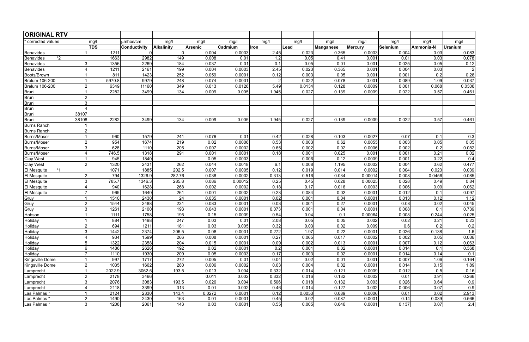| <b>ORIGINAL RTV</b>   |                |            |                     |                   |         |         |       |        |           |                |          |           |                |
|-----------------------|----------------|------------|---------------------|-------------------|---------|---------|-------|--------|-----------|----------------|----------|-----------|----------------|
| corrected values      |                | mg/l       | umhos/cm            | mg/l              | mg/l    | mg/l    | mg/l  | mg/l   | mg/l      | mg/l           | mg/l     | mg/l      | mg/l           |
|                       |                | <b>TDS</b> | <b>Conductivity</b> | <b>Alkalinity</b> | Arsenic | Cadmium | lron  | Lead   | Manganese | <b>Mercury</b> | Selenium | Ammonia-N | <b>Uranium</b> |
| Benavides             |                | 1211       |                     | 0l                | 0.004   | 0.0003  | 2.45  | 0.023  | 0.365     | 0.0003         | 0.004    | 0.03      | 0.083          |
| Benavides             | $*2$           | 1663       | 2982                | 149               | 0.008   | 0.01    | 1.2   | 0.05   | 0.41      | 0.001          | 0.01     | 0.03      | 0.078          |
| Benavides             | 3              | 1356       | 2269                | 184               | 0.037   | 0.01    | 0.1   | 0.05   | 0.01      | 0.001          | 0.025    | 0.05      | 0.12           |
| Benavides             |                | 1211       | 2161                | 199               | 0.004   | 0.0003  | 2.45  | 0.023  | 0.365     | 0.001          | 0.004    | 0.03      | $\overline{2}$ |
| Boots/Brown           |                | 811        | 1423                | 252               | 0.059   | 0.0001  | 0.12  | 0.003  | 0.05      | 0.001          | 0.001    | 0.2       | 0.28           |
| Brelum 106-200        |                | 5970.8     | 9979                | 248               | 0.074   | 0.0031  |       | 0.022  | 0.078     | 0.001          | 0.089    | 1.09      | 0.037          |
| <b>Brelum 106-200</b> | $\overline{2}$ | 6349       | 11160               | 349               | 0.013   | 0.0126  | 5.49  | 0.0134 | 0.128     | 0.0009         | 0.001    | 0.068     | 0.0308         |
| Bruni                 |                | 2282       | 3499                | 134               | 0.009   | 0.005   | 1.945 | 0.027  | 0.139     | 0.0009         | 0.022    | 0.57      | 0.461          |
| Bruni                 | 2              |            |                     |                   |         |         |       |        |           |                |          |           |                |
| Bruni                 | 3              |            |                     |                   |         |         |       |        |           |                |          |           |                |
| Bruni                 |                |            |                     |                   |         |         |       |        |           |                |          |           |                |
| Bruni                 | 38107          |            |                     |                   |         |         |       |        |           |                |          |           |                |
| Bruni                 | 38108          | 2282       | 3499                | 134               | 0.009   | 0.005   | 1.945 | 0.027  | 0.139     | 0.0009         | 0.022    | 0.57      | 0.461          |
| <b>Burns Ranch</b>    |                |            |                     |                   |         |         |       |        |           |                |          |           |                |
| <b>Burns Ranch</b>    | $\overline{2}$ |            |                     |                   |         |         |       |        |           |                |          |           |                |
| Burns/Moser           |                | 960        | 1579                | 241               | 0.076   | 0.01    | 0.42  | 0.028  | 0.103     | 0.0027         | 0.07     | 0.1       | 0.3            |
| <b>Burns/Moser</b>    | $\overline{2}$ | 954        | 1674                | 219               | 0.02    | 0.0006  | 0.53  | 0.003  | 0.62      | 0.0055         | 0.003    | 0.05      | 0.05           |
| Burns/Moser           |                | 628        | 1110                | 205               | 0.007   | 0.0002  | 0.65  | 0.002  | 0.02      | 0.0006         | 0.002    | 0.2       | 0.082          |
| <b>Burns/Moser</b>    |                | 746.5      | 1318                | 291               | 0.001   | 0.0001  | 0.18  | 0.001  | 0.025     | 0.001          | 0.001    | 0.21      | 0.02           |
| Clay West             |                | 945        | 1840                |                   | 0.05    | 0.0003  |       | 0.006  | 0.12      | 0.0009         | 0.001    | 0.22      | 0.4            |
| Clay West             | $\overline{2}$ | 1320       | 2431                | 262               | 0.044   | 0.0018  | 6.1   | 0.008  | 1.195     | 0.0002         | 0.004    | 0.62      | 0.477          |
| El Mesquite           |                | 1071       | 1885                | 202.5             | 0.007   | 0.0005  | 0.12  | 0.019  | 0.014     | 0.0002         | 0.004    | 0.023     | 0.039          |
| El Mesquite           | $\overline{2}$ | 794        | 1326.9              | 282.76            | 0.038   | 0.0002  | 0.313 | 0.516  | 0.034     | 0.00014        | 0.008    | 0.0456    | 0.085          |
| <b>El Mesquite</b>    |                | 785.7      | 1346.3              | 285.8             | 0.086   | 0.00012 | 0.25  | 0.45   | 0.028     | 0.00025        | 0.028    | 0.49      | 0.84           |
| El Mesquite           |                | 940        | 1628                | 268               | 0.002   | 0.0002  | 0.18  | 0.17   | 0.016     | 0.0003         | 0.006    | 0.09      | 0.062          |
| El Mesquite           |                | 965        | 1640                | 261               | 0.001   | 0.0002  | 0.23  | 0.084  | 0.02      | 0.0001         | 0.012    | 0.1       | 0.097          |
| Gruy                  |                | 1510       | 2430                | 24                | 0.035   | 0.0001  | 0.02  | 0.001  | 0.04      | 0.0001         | 0.013    | 0.12      | 1.12           |
| Gruy                  | $\overline{2}$ | 1544       | 2488                | 231               | 0.083   | 0.0001  | 0.03  | 0.001  | 0.27      | 0.0001         | 0.08     | 0.02      | 0.045          |
| Gruy                  | 3              | 1261       | 2100                | 193               | 0.043   | 0.0001  | 0.073 | 0.001  | 0.04      | 0.0001         | 0.008    | 0.1       | 0.739          |
| Hobson                |                | 1111       | 1758                | 195               | 0.15    | 0.0009  | 0.54  | 0.04   | 0.1       | 0.00064        | 0.008    | 0.244     | 0.025          |
| Holiday               |                | 884        | 1498                | 247               | 0.03    | 0.01    | 2.08  | 0.05   | 0.05      | 0.002          | 0.02     | 0.21      | 0.23           |
| Holiday               | $\overline{2}$ | 694        | 1211                | 181               | 0.03    | 0.005   | 0.32  | 0.03   | 0.02      | 0.009          | 0.6      | 0.2       | 0.2            |
| Holiday               | 3              | 1442       | 2374                | 206.5             | 0.08    | 0.0001  | 0.272 | 1.97   | 0.22      | 0.0001         | 0.026    | 0.138     | 1.6            |
| Holiday               | 4              | 934        | 1599                | 266               | 0.008   | 0.0001  | 0.27  | 0.065  | 0.017     | 0.0002         | 0.002    | 0.05      | 0.036          |
| Holiday               | 5              | 1322       | 2358                | 204               | 0.015   | 0.0001  | 0.09  | 0.002  | 0.013     | 0.0001         | 0.007    | 0.12      | 0.063          |
| Holiday               | 6              | 1486       | 2626                | 192               | 0.02    | 0.0001  | 0.2   | 0.001  | 0.02      | 0.0001         | 0.014    | 0.1       | 0.368          |
| Holiday               |                | 1110       | 1930                | 209               | 0.05    | 0.0003  | 0.17  | 0.003  | 0.02      | 0.0001         | 0.014    | 0.14      | 0.1            |
| Kingsville Dome       |                | 997        | 1717                | 272               | 0.005   | 0.01    | 0.04  | 0.02   | 0.01      | 0.001          | 0.007    | 1.06      | 0.164          |
| Kingsville Dome       | $\overline{2}$ | 1035       | 1662                | 280               | 0.006   | 0.0002  | 0.03  | 0.004  | 0.02      | 0.0001         | 0.014    | 0.15      | 1.89           |
| Lamprecht             |                | 2022.9     | 3062.5              | 193.5             | 0.013   | 0.004   | 0.332 | 0.014  | 0.121     | 0.0009         | 0.012    | 0.5       | 0.16           |
| Lamprecht             |                | 2178       | 3466                |                   | 0.011   | 0.002   | 0.332 | 0.016  | 0.132     | 0.0002         | 0.01     | 0.91      | 0.266          |
| Lamprecht             | 3              | 2076       | 3083                | 193.5             | 0.026   | 0.004   | 0.506 | 0.018  | 0.132     | 0.003          | 0.026    | 0.64      | 0.9            |
| Lamprecht             |                | 2118       | 3399                | 313               | 0.01    | 0.002   | 0.46  | 0.014  | 0.127     | 0.002          | 0.006    | 0.07      | 0.9            |
| Las Palmas*           |                | 2124       | 2330                | 143.4             | 0.0272  | 0.0001  | 0.12  | 0.0053 | 0.089     | 0.0006         | 0.01     | 0.02      | 2.913          |
| Las Palmas*           | $\overline{2}$ | 1490       | 2430                | 163               | 0.01    | 0.0001  | 0.45  | 0.02   | 0.087     | 0.0001         | 0.14     | 0.039     | 0.566          |
| Las Palmas *          | 3              | 1208       | 2061                | 143               | 0.03    | 0.0001  | 0.55  | 0.005  | 0.046     | 0.0001         | 0.137    | 0.07      | 2.4            |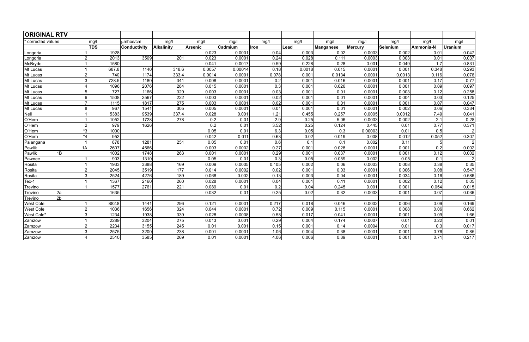| <b>ORIGINAL RTV</b> |                |            |                     |            |                |         |                  |        |           |         |          |           |                |
|---------------------|----------------|------------|---------------------|------------|----------------|---------|------------------|--------|-----------|---------|----------|-----------|----------------|
| corrected values    |                | mg/l       | umhos/cm            | mg/l       | mg/l           | mg/l    | mg/l             | mg/l   | mg/l      | mg/l    | mg/l     | mg/l      | mg/l           |
|                     |                | <b>TDS</b> | <b>Conductivity</b> | Alkalinity | <b>Arsenic</b> | Cadmium | <b>Iron</b>      | Lead   | Manganese | Mercury | Selenium | Ammonia-N | <b>Uranium</b> |
| Longoria            |                | 1928       |                     |            | 0.023          | 0.0001  | 0.04             | 0.003  | 0.02      | 0.0003  | 0.002    | 0.01      | 0.047          |
| Longoria            | 2              | 2013       | 3509                | 201        | 0.023          | 0.0001  | 0.24             | 0.028  | 0.111     | 0.0003  | 0.003    | 0.01      | 0.037          |
| McBryde             |                | 1580       |                     |            | 0.041          | 0.0017  | 0.59             | 0.228  | 0.28      | 0.001   | 0.049    | 1.7       | 0.831          |
| Mt Lucas            |                | 687.8      | 1140                | 318.6      | 0.0057         | 0.00014 | 0.18             | 0.0018 | 0.015     | 0.0001  | 0.001    | 0.348     | 0.293          |
| Mt Lucas            | 2              | 740        | 1174                | 333.4      | 0.0014         | 0.0001  | 0.078            | 0.001  | 0.0134    | 0.0001  | 0.0013   | 0.116     | 0.076          |
| Mt Lucas            | 3              | 728.5      | 1180                | 341        | 0.008          | 0.0001  | 0.2              | 0.001  | 0.016     | 0.0001  | 0.001    | 0.17      | 0.77           |
| Mt Lucas            |                | 1096       | 2076                | 284        | 0.015          | 0.0001  | 0.3              | 0.001  | 0.026     | 0.0001  | 0.001    | 0.09      | 0.097          |
| Mt Lucas            | $\overline{5}$ | 727        | 1166                | 329        | 0.003          | 0.0001  | 0.03             | 0.001  | 0.01      | 0.0001  | 0.003    | 0.12      | 0.258          |
| Mt Lucas            | 6              | 1508       | 2567                | 222        | 0.003          | 0.0001  | 0.02             | 0.001  | 0.01      | 0.0001  | 0.004    | 0.03      | 0.125          |
| Mt Lucas            |                | 1115       | 1817                | 275        | 0.003          | 0.0001  | 0.02             | 0.001  | 0.01      | 0.0001  | 0.001    | 0.07      | 0.047          |
| Mt Lucas            | R              | 967        | 1541                | 305        | 0.005          | 0.0001  | 0.01             | 0.001  | 0.01      | 0.0001  | 0.002    | 0.06      | 0.334          |
| Nell                |                | 5383       | 9539                | 337.4      | 0.028          | 0.001   | 1.21             | 0.455  | 0.257     | 0.0005  | 0.0012   | 7.49      | 0.041          |
| O'Hern              |                | 1052       | 1728                | 278        | 0.2            | 0.01    | $\overline{2.9}$ | 0.25   | 5.06      | 0.0003  | 0.002    | 2.1       | 0.28           |
| O'Hern              | $\mathfrak{p}$ | 979        | 1626                |            | 0.2            | 0.01    | 3.52             | 0.25   | 0.124     | 0.445   | 0.01     | 0.77      | 0.371          |
| O'Hern              | $*3$           | 1000       |                     |            | 0.05           | 0.01    | 6.3              | 0.05   | 0.3       | 0.00003 | 0.01     | 0.5       | $\mathcal{D}$  |
| O'Hern              | $*_{4}$        | 952        |                     |            | 0.042          | 0.011   | 0.63             | 0.02   | 0.019     | 0.008   | 0.012    | 0.052     | 0.307          |
| Palangana           |                | 878        | 1281                | 251        | 0.05           | 0.01    | 0.6              | 0.1    | 0.1       | 0.002   | 0.11     |           | $\overline{2}$ |
| Pawlik              | 1A             | 2607       | 4566                |            | 0.003          | 0.0002  | 0.27             | 0.001  | 0.028     | 0.0001  | 0.001    | 0.2       | 0.002          |
| Pawlik              | 1B             | 1002       | 1748                | 263        | 0.001          | 0.0001  | 0.29             | 0.001  | 0.037     | 0.0001  | 0.001    | 0.12      | 0.002          |
| Pawnee              |                | 903        | 1310                |            | 0.05           | 0.01    | 0.3              | 0.05   | 0.059     | 0.002   | 0.05     | 0.1       | $\overline{2}$ |
| Rosita              |                | 1933       | 3388                | 169        | 0.009          | 0.0005  | 0.105            | 0.002  | 0.06      | 0.0003  | 0.008    | 0.38      | 0.35           |
| Rosita              | $\overline{2}$ | 2045       | 3519                | 177        | 0.014          | 0.0002  | 0.02             | 0.001  | 0.03      | 0.0001  | 0.006    | 0.08      | 0.547          |
| Rosita              | 3              | 2524       | 4276                | 189        | 0.068          | 0.002   | 0.13             | 0.003  | 0.04      | 0.0001  | 0.034    | 0.16      | 0.586          |
| Tex-1               |                | 1367       | 2160                | 260        | 0.028          | 0.0001  | 0.04             | 0.001  | 0.11      | 0.0001  | 0.002    | 0.12      | 0.05           |
| Trevino             |                | 1577       | 2761                | 221        | 0.089          | 0.01    | 0.2              | 0.04   | 0.245     | 0.001   | 0.001    | 0.054     | 0.015          |
| Trevino             | 2a             | 1635       |                     |            | 0.032          | 0.01    | 0.25             | 0.02   | 0.32      | 0.0003  | 0.001    | 0.07      | 0.036          |
| Trevino             | 2 <sub>b</sub> |            |                     |            |                |         |                  |        |           |         |          |           |                |
| West Cole           |                | 882.8      | 1441                | 296        | 0.121          | 0.0001  | 0.217            | 0.018  | 0.046     | 0.0002  | 0.006    | 0.09      | 0.169          |
| West Cole           | $\overline{2}$ | 1036       | 1656                | 324        | 0.044          | 0.0001  | 0.72             | 0.009  | 0.115     | 0.0001  | 0.008    | 0.06      | 0.662          |
| West Cole*          | 3              | 1234       | 1938                | 339        | 0.028          | 0.0008  | 0.58             | 0.017  | 0.041     | 0.0001  | 0.001    | 0.09      | 1.66           |
| Zamzow              |                | 2289       | 3204                | 275        | 0.013          | 0.001   | 0.29             | 0.004  | 0.174     | 0.0007  | 0.01     | 0.22      | 0.01           |
| Zamzow              | $\overline{2}$ | 2234       | 3155                | 245        | 0.01           | 0.001   | 0.15             | 0.001  | 0.14      | 0.0004  | 0.01     | 0.3       | 0.017          |
| Zamzow              | 3              | 2575       | 3200                | 238        | 0.001          | 0.0001  | 1.06             | 0.004  | 0.38      | 0.0001  | 0.001    | 0.76      | 0.85           |
| Zamzow              |                | 2510       | 3585                | 269        | 0.01           | 0.0001  | 4.06             | 0.006  | 0.39      | 0.0001  | 0.001    | 0.71      | 0.217          |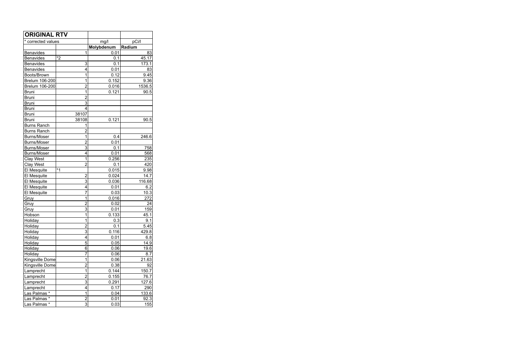| <b>ORIGINAL RTV</b> |       |                         |             |
|---------------------|-------|-------------------------|-------------|
| * corrected values  |       | mg/l                    | pCi/l       |
|                     |       | Molybdenum              | Radium      |
| <b>Benavides</b>    |       | 1<br>0.01               | 83          |
| <b>Benavides</b>    | $*2$  | 0.1                     | 45.17       |
| <b>Benavides</b>    |       | 3<br>0.1                | 173.1       |
| <b>Benavides</b>    |       | 0.01<br>4               | 83          |
| Boots/Brown         |       | 1<br>0.12               | 9.45        |
| Brelum 106-200      |       | 1<br>0.152              | 9.36        |
| Brelum 106-200      |       | $\overline{2}$<br>0.016 | 1536.5      |
| <b>Bruni</b>        |       | 1<br>0.121              | 90.5        |
| <b>Bruni</b>        |       | $\overline{2}$          |             |
| <b>Bruni</b>        |       | 3                       |             |
| <b>Bruni</b>        |       | 4                       |             |
| <b>Bruni</b>        | 38107 |                         |             |
| <b>Bruni</b>        | 38108 | 0.121                   | 90.5        |
| <b>Burns Ranch</b>  |       | 1                       |             |
| <b>Burns Ranch</b>  |       | $\overline{2}$          |             |
| <b>Burns/Moser</b>  |       | 1<br>0.4                | 246.6       |
| <b>Burns/Moser</b>  |       | $\overline{2}$<br>0.01  |             |
| <b>Burns/Moser</b>  |       | 3<br>0.1                | 758         |
| <b>Burns/Moser</b>  |       | 4<br>0.01               | 568         |
| Clay West           |       | 1<br>0.256              | 235         |
| Clay West           |       | $\overline{2}$<br>0.1   | 420         |
| El Mesquite         | $*1$  | 0.015                   | 9.98        |
| El Mesquite         |       | $\overline{2}$<br>0.024 | 14.7        |
| El Mesquite         |       | 3<br>0.036              | 116.68      |
| El Mesquite         |       | 4<br>0.01               | 6.2         |
| El Mesquite         |       | 7<br>0.03               | 10.3        |
| Gruy                |       | 1<br>0.016              | 272         |
| Gruy                |       | $\overline{2}$<br>0.02  | 24          |
| Gruy                |       | 3<br>0.01               | 159         |
| Hobson              |       | 1<br>0.133              | 45.1        |
| Holiday             |       | 1<br>0.3                | 9.1         |
| Holiday             |       | $\overline{2}$<br>0.1   | <u>5.45</u> |
| Holiday             |       | 3<br>0.116              | 429.8       |
| Holiday             |       | 4<br>0.01               | 6.8         |
| Holiday             |       | 5<br>0.05               | 14.9        |
| Holiday             |       | 6<br>0.06               | 19.6        |
| Holiday             |       | 7<br>0.06               | 8.7         |
| Kingsville Dome     |       | 1<br>0.06               | 21.63       |
| Kingsville Dome     |       | $\overline{c}$<br>0.38  | 92          |
| Lamprecht           |       | 1<br>0.144              | 150.7       |
| Lamprecht           |       | $\overline{c}$<br>0.155 | 76.7        |
| Lamprecht           |       | $\overline{3}$<br>0.291 | 127.6       |
| Lamprecht           |       | 4<br>0.17               | 290         |
| Las Palmas *        |       | 1<br>0.04               | 133.6       |
| Las Palmas *        |       | $\overline{2}$<br>0.01  | 92.3        |
| Las Palmas*         |       | 3<br>0.03               | 155         |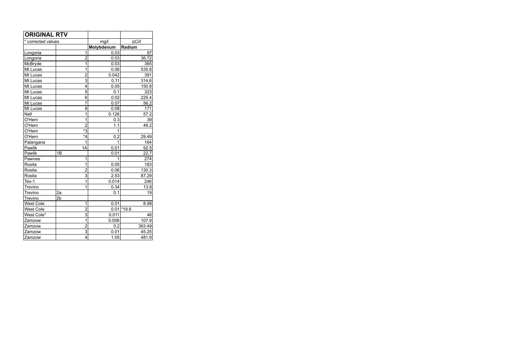| <b>ORIGINAL RTV</b> |                      |            |               |
|---------------------|----------------------|------------|---------------|
| * corrected values  |                      | mg/l       | pCi/l         |
|                     |                      | Molybdenum | Radium        |
| Longoria            | 1                    | 0.03       | 97            |
| Longoria            | $\overline{2}$       | 0.03       | 36.72         |
| McBryde             | $\overline{1}$       | 0.03       | 365           |
| Mt Lucas            | 1                    | 0.06       | 535.8         |
| Mt Lucas            | $\overline{2}$       | 0.042      | 391           |
| Mt Lucas            | $\overline{3}$       | 0.11       | 314.6         |
| Mt Lucas            | 4                    | 0.05       | 150.8         |
| Mt Lucas            | 5                    | 0.1        | 323           |
| Mt Lucas            | 6                    | 0.02       | 225.4         |
| Mt Lucas            | 7                    | 0.07       | 56.2          |
| Mt Lucas            | 8                    | 0.08       | 171           |
| Nell                | 1                    | 0.126      | 57.2          |
| O'Hern              | 1                    | 0.3        | 39            |
| O'Hern              | $\overline{2}$       | 1.1        | 46.2          |
| O'Hern              | $\overline{\cdot}$ 3 | 1          |               |
| O'Hern              | *4                   | 0.2        | 29.49         |
| Palangana           | 1                    | 1          | 164           |
| Pawlik              | 1A                   | 0.01       | 92.5          |
| Pawlik              | 1B                   | 0.01       | 22.7          |
| Pawnee              | 1                    | 1          | 274           |
| Rosita              | 1                    | 0.05       | 183           |
| Rosita              | $\overline{2}$       | 0.06       | 130.3         |
| Rosita              | 3                    | 2.53       | 87.29         |
| $Text-1$            | 1                    | 0.014      | 246           |
| Trevino             | 1                    | 0.34       | 13.8          |
| Trevino             | 2a                   | 0.1        | 19            |
| Trevino             | 2 <sub>b</sub>       |            |               |
| <b>West Cole</b>    | 1                    | 0.01       | 8.98          |
| <b>West Cole</b>    | $\overline{2}$       |            | $0.01$ * 19.6 |
| West Cole*          | 3                    | 0.011      | 46            |
| Zamzow              | 1                    | 0.006      | 107.9         |
| Zamzow              | $\overline{2}$       | 0.2        | 363.49        |
| Zamzow              | $\overline{3}$       | 0.01       | 45.25         |
| Zamzow              | 4                    | 1.05       | 481.9         |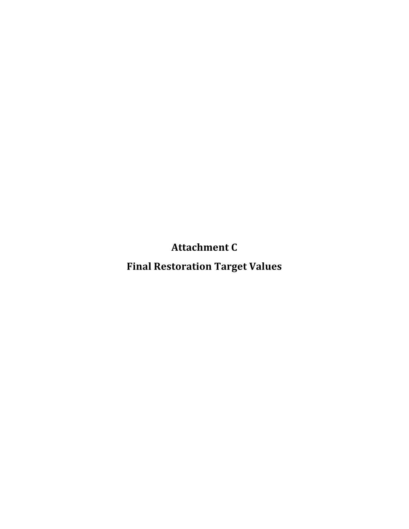**Attachment
C**

**Final
Restoration
Target
Values**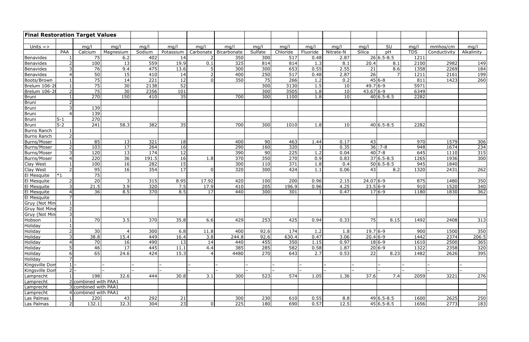| <b>Final Restoration Target Values</b> |                          |                      |           |        |           |                |                  |         |          |          |                 |                       |                  |            |              |            |
|----------------------------------------|--------------------------|----------------------|-----------|--------|-----------|----------------|------------------|---------|----------|----------|-----------------|-----------------------|------------------|------------|--------------|------------|
|                                        |                          |                      |           |        |           |                |                  |         |          |          |                 |                       |                  |            |              |            |
| Units $=$ >                            |                          | mg/l                 | mg/l      | mg/l   | mg/l      | mq/l           | mg/l             | mq/l    | mg/l     | mg/l     | mq/l            | mq/l                  | SU               | mq/l       | mmhos/cm     | mg/l       |
|                                        | PAA                      | Calcium              | Magnesium | Sodium | Potassium | Carbonate      | Bicarbonate      | Sulfate | Chloride | Fluoride | Nitrate-N       | Silica                | pH               | <b>TDS</b> | Conductivity | Alkalinity |
| Benavides                              |                          | 75                   | 6.2       | 402    | 14        |                | 350              | 300     | 517      | 0.48     | 2.87            |                       | $26 6.5-8.5$     | 1211       |              |            |
| Benavides                              | $\overline{2}$           | 100                  | 13        | 559    | 19.9      | 0.1            | 325              | 814     | 814      | 1.3      | 8.1             | 20.4                  | 8.1              | 2100       | 2982         | 149        |
| Benavides                              | 3                        | 76                   | 9.4       | 475    | 13.6      | 5              | $\overline{300}$ | 300     | 653      | 0.55     | 2.55            | 21                    | $\overline{8.6}$ | 1358       | 2269         | 184        |
| Benavides                              | $\boldsymbol{\Delta}$    | 50                   | 15        | 410    | 14        | $\overline{2}$ | 400              | 250     | 517      | 0.48     | 2.87            | 26                    | 7 <sup>1</sup>   | 1211       | 2161         | 199        |
| Boots/Brown                            |                          | 75                   | 14        | 221    | 12        | $\Omega$       | 350              | 75      | 266      | 1.2      | 0.2             |                       | $45 6-8$         | 811        | 1423         | 260        |
| Brelum 106-20                          |                          | 75                   | 30        | 2138   | 52        |                |                  | 300     | 3130     | 1.5      | 10              | $49.7 6-9$            |                  | 5971       |              |            |
| Brelum 106-2                           | $\overline{2}$           | 75                   | 30        | 2356   | 101       |                |                  | 300     | 3505     | 1.8      | 10 <sup>1</sup> | 43.67 6-9             |                  | 6349       |              |            |
| Bruni                                  |                          | 270                  | 150       | 410    | 35        |                | 700              | 300     | 1100     | 1.8      | 10 <sup>1</sup> |                       | $40 6.5 - 8.5$   | 2282       |              |            |
| Bruni                                  | $\overline{2}$           |                      |           |        |           |                |                  |         |          |          |                 |                       |                  |            |              |            |
| Bruni                                  | 3                        | 139                  |           |        |           |                |                  |         |          |          |                 |                       |                  |            |              |            |
| Bruni                                  | $\boldsymbol{\Delta}$    | 139                  |           |        |           |                |                  |         |          |          |                 |                       |                  |            |              |            |
| Bruni                                  | $5 - 1$                  | 270                  |           |        |           |                |                  |         |          |          |                 |                       |                  |            |              |            |
| Bruni                                  | $5-2$                    | 241                  | 58.3      | 382    | 35        |                | 700              | 300     | 1010     | 1.8      | 10 <sup>1</sup> |                       | $40 6.5 - 8.5$   | 2282       |              |            |
| <b>Burns Ranch</b>                     |                          |                      |           |        |           |                |                  |         |          |          |                 |                       |                  |            |              |            |
| <b>Burns Ranch</b>                     | $\overline{2}$           |                      |           |        |           |                |                  |         |          |          |                 |                       |                  |            |              |            |
| Burns/Moser                            |                          | 85                   | 13        | 321    | 18        |                | 400              | 90      | 463      | 1.44     | 0.17            | 43                    |                  | 970        | 1579         | 306        |
| Burns/Moser                            | $\overline{2}$           | 103                  | 17        | 264    | 16        |                | 290              | 160     | 320      |          | 0.35            |                       | $36$ : 7-8       | 948        | 1674         | 234        |
| Burns/Moser                            | 3                        | 120                  | 13        | 174    | 12        |                | 390              | 90      | 225      | 1.2      | 0.04            |                       | $40 7-8$         | 645        | 1110         | 315        |
| Burns/Moser                            | $\Delta$                 | 220                  | 36        | 191.5  | 16        | 1.8            | 370              | 350     | 270      | 0.9      | 0.83            |                       | $37 6.5-8.5$     | 1265       | 1936         | 300        |
| Clay West                              |                          | 100                  | 16        | 282    | 15        |                | 300              | 110     | 371      | 1.8      | 0.4             |                       | $50 6.5-8.5$     | 945        | 1840         |            |
| Clay West                              | $\overline{2}$           | 95                   | 16        | 354    | 17        | 0              | 320              | 300     | 424      | 1.1      | 0.06            | 43                    | 8.2              | 1320       | 2431         | 262        |
| El Mesquite                            | $ *_1$                   | 75                   |           |        |           |                |                  |         |          |          |                 |                       |                  |            |              |            |
| El Mesquite                            | $\overline{\phantom{a}}$ | 20 <sup>°</sup>      |           | 315    | 8.95      | 17.92          | 420              | 100     | 200      | 0.96     | 2.15            | $24.07 6-9$           |                  | 875        | 1480         | 350        |
| El Mesquite                            | 3                        | 21.5                 | 3.9       | 320    | 7.5       | 17.9           | 410              | 205     | 196.9    | 0.96     | 4.25            | $\overline{23.5 6-9}$ |                  | 910        | 1520         | 340        |
| El Mesquite                            | $\boldsymbol{\Delta}$    | 36                   | 8.5       | 370    | 8.5       | 17             | 440              | 300     | 301      |          | 0.47            |                       | $17 6-9$         | 1180       | 1830         | 362        |
| El Mesquite                            | $\overline{7}$           |                      |           |        |           |                |                  |         |          |          |                 |                       |                  |            |              |            |
| Gruy (Not Min                          |                          |                      |           |        |           |                |                  |         |          |          |                 |                       |                  |            |              |            |
| <b>Gruy Not Mine</b>                   | $\overline{2}$           |                      |           |        |           |                |                  |         |          |          |                 |                       |                  |            |              |            |
| Gruy (Not Min                          |                          |                      |           |        |           |                |                  |         |          |          |                 |                       |                  |            |              |            |
| Hobson                                 |                          | 70                   | 3.5       | 370    | 35.8      | 6.6            | 429              | 253     | 425      | 0.94     | 0.33            | 75                    | 8.15             | 1492       | 2408         | 313        |
| Holiday                                |                          |                      |           |        |           |                |                  |         |          |          |                 |                       |                  |            |              |            |
| Holiday                                | $\overline{2}$           | 30                   |           | 300    | 6.8       | 11.8           | 400              | 92.6    | 174      | 1.2      | 1.8             | $19.7 6-9$            |                  | 900        | 1500         | 350        |
| Holiday                                | 3                        | 38.8                 | 15.4      | 449    | 16.4      | 3.8            | 244.8            | 92.6    | 630.4    | 0.47     | 3.06            | $20.4 6-9 $           |                  | 1442       | 2374         | 206.5      |
| Holiday                                | $\overline{4}$           | 70                   | 16        | 490    | 13        | 14             | 440              | 455     | 350      | 1.15     | 0.97            |                       | $18 6-9$         | 1610       | 2500         | 365        |
| Holiday                                | 5                        | 46                   | 17        | 445    | 11.1      | 4.4            | $\overline{385}$ | 285     | 582      | 0.58     | 1.87            |                       | $20 6-9$         | 1322       | 2358         | 320        |
| Holiday                                | 6<br>$\overline{7}$      | 65                   | 24.6      | 424    | 15.3      | 4              | 4480             | 270     | 643      | 2.7      | 0.53            | 22                    | 8.23             | 1482       | 2626         | 395        |
| Holiday                                |                          |                      |           |        |           |                |                  |         |          |          |                 |                       |                  |            |              |            |
| Kingsville Dom                         |                          |                      |           |        |           |                |                  |         |          |          |                 |                       |                  |            |              |            |
| Kingsville Don                         |                          | $2$ -                |           |        |           |                |                  |         |          |          |                 |                       |                  |            |              |            |
| Lamprecht                              |                          | 198                  | 32.6      | 444    | 30.8      | 3.1            | 300              | 523     | 574      | 1.05     | 1.36            | 37.6                  | 7.4              | 2059       | 3221         | 276        |
| Lamprecht                              |                          | 2 combined with PAA1 |           |        |           |                |                  |         |          |          |                 |                       |                  |            |              |            |
| Lamprecht                              |                          | 3 combined with PAA1 |           |        |           |                |                  |         |          |          |                 |                       |                  |            |              |            |
| Lamprecht                              |                          | 4 combined with PAA1 |           |        |           |                |                  |         |          |          |                 |                       |                  |            |              |            |
| Las Palmas                             |                          | 220                  | 43        | 292    | 21        |                | 300              | 230     | 610      | 0.55     | 8.8             |                       | $49 6.5 - 8.5$   | 1600       | 2625         | 250        |
| Las Palmas                             | $\vert$ 2                | 132.1                | 32.3      | 304    | 23        | 0              | 225              | 180     | 690      | 0.57     | 12.5            |                       | $45 6.5-8.5$     | 1656       | 2773         | 183        |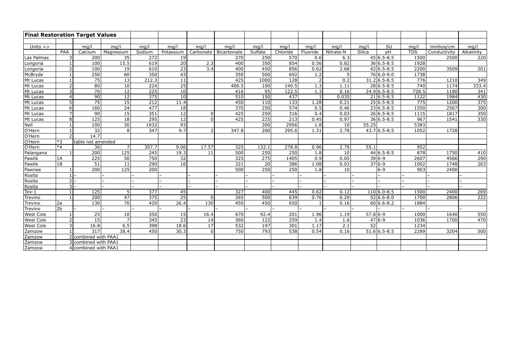| <b>Final Restoration Target Values</b> |                 |                      |                 |                  |                 |                  |                         |                  |                  |                  |                  |                 |                 |            |              |                  |
|----------------------------------------|-----------------|----------------------|-----------------|------------------|-----------------|------------------|-------------------------|------------------|------------------|------------------|------------------|-----------------|-----------------|------------|--------------|------------------|
|                                        |                 |                      |                 |                  |                 |                  |                         |                  |                  |                  |                  |                 |                 |            |              |                  |
| Units $=$ >                            |                 | mg/l                 | mq/l            | mq/l             | mq/l            | mq/l             | mq/l                    | mq/l             | mq/l             | mg/l             | mq/l             | mq/l            | SU              | mq/l       | mmhos/cm     | mg/l             |
|                                        | PAA             | Calcium              | Magnesium       | Sodium           | Potassium       |                  | Carbonate   Bicarbonate | Sulfate          | Chloride         | Fluoride         | Nitrate-N        | Silica          | pH              | <b>TDS</b> | Conductivity | Alkalinity       |
| Las Palmas                             | 3               | $\overline{200}$     | 35              | $\overline{272}$ | 19              |                  | 270                     | 250              | 570              | 0.6              | 6.3              |                 | $45 6.5-8.5$    | 1500       | 2500         | 220              |
| Longoria                               |                 | 100                  | 15.5            | 619              | 20              | 2.3              | 400                     | 350              | 854              | 0.56             | 0.82             |                 | $36 6.5 - 8.5$  | 1928       |              |                  |
| Longoria                               | $\overline{2}$  | 100                  | 19              | $\overline{610}$ | $\overline{23}$ | $\overline{3.4}$ | 400                     | 450              | 856              | 0.62             | 2.68             |                 | $42 6.5-8.5$    | 2200       | 3509         | 201              |
| McBryde                                |                 | 250                  | 60              | 350              | 43              |                  | 350                     | 500              | 692              | 1.2              | 5 <sup>1</sup>   |                 | $76 6.0-9.0$    | 1738       |              |                  |
| Mt Lucas                               |                 | $\overline{75}$      | $\overline{13}$ | 212.3            | $\overline{11}$ |                  | 425                     | 1000             | $\frac{128}{ }$  | 2 <sup>1</sup>   | $\overline{0.2}$ |                 | $31.2 6.5-8.5$  | 776        | 1210         | 349              |
| Mt Lucas                               | $\overline{2}$  | 80                   | $\overline{10}$ | $\overline{224}$ | $\overline{25}$ |                  | 406.5                   | 100              | 140.5            | $\overline{1.3}$ | 1.11             |                 | $28 6.5-8.5$    | 740        | 1174         | 333.4            |
| Mt Lucas                               | 3               | 70                   | 12              | $\overline{225}$ | 10              |                  | 416                     | $\overline{95}$  | 122.5            | 1.3              | 0.16             |                 | $24.96.5 - 8.5$ | 728.5      | 1180         | 341              |
| Mt Lucas                               | $\overline{4}$  | $\overline{90}$      | $\overline{12}$ | $\frac{1}{375}$  | 10              |                  | $\overline{510}$        | 150              | 437              |                  | 0.035            |                 | $21 6.5-8.5$    | 1122       | 1984         | 430              |
| Mt Lucas                               | 5               | 75                   | 15              | 212              | 11.4            |                  | 450                     | 110              | 133              | 1.28             | 0.21             |                 | $25 6.5-8.5$    | 775        | 1200         | $\frac{1}{375}$  |
| Mt Lucas                               | 6               | 160                  | 24              | 477              | $\overline{18}$ |                  | $\overline{370}$        | 250              | 574              | 0.5              | 0.46             |                 | $23 6.5-8.5$    | 1550       | 2567         | 300              |
| Mt Lucas                               | $\overline{z}$  | 90                   | 15              | 351              | $\overline{12}$ | 0                | 425                     | 250              | 316              | 0.4              | 0.03             |                 | $26 6.5-8.5$    | 1115       | 1817         | $\overline{350}$ |
| Mt Lucas                               | 8               | $\boxed{125}$        | 18              | $\overline{295}$ | 12              | 0                | 425                     | $\overline{225}$ | 213              | 0.45             | 0.97             |                 | $36 6.5-8.5$    | 967        | 1541         | 330              |
| Nell                                   |                 | 100                  | 30              | 1932             | 93              |                  |                         | 300              | 2956             | 1.8              | 10 <sup>1</sup>  | 55.25           |                 | 5383       |              |                  |
| $O'$ Hern                              |                 | $\overline{32}$      | 8 <sup>1</sup>  | $\overline{347}$ | 9.7             | $\overline{2}$   | 347.8                   | 200              | 295.6            | 1.31             | 2.78             |                 | $43.7 6.5-8.5$  | 1052       | 1728         |                  |
| O'Hern                                 | $\overline{2}$  | 14.7                 |                 |                  |                 |                  |                         |                  |                  |                  |                  |                 |                 |            |              |                  |
| O'Hern                                 | $*3$            | table not amended    |                 |                  |                 |                  |                         |                  |                  |                  |                  |                 |                 |            |              |                  |
| O'Hern                                 | $*4$            | 36                   | $\overline{7}$  | 307.7            | 9.06            | 17.57            | 325                     | 132.1            | 278.8            | 0.96             | 2.79             | 55.1            |                 | 952        |              |                  |
| Palangana                              |                 | 200                  | 125             | 245              | 19.3            | 11               | 500                     | 250              | 250              | 1.8              | 10 <sup>1</sup>  |                 | $44 6.5-8.5$    | 878        | 1750         | 410              |
| Pawlik                                 | 1A              | $\overline{225}$     | 50              | $\overline{750}$ | $\overline{32}$ |                  | 325                     | 275              | 1405             | 0.9              | 0.05             |                 | $39 6-9$        | 2607       | 4566         | 290              |
| Pawlik                                 | 1B              | 51                   | 11              | 290              | 16              |                  | 321                     | $\overline{20}$  | 386              | 1.08             | 0.03             |                 | $376-9$         | 1002       | 1748         | 263              |
| Pawnee                                 |                 | $\overline{200}$     | 125             | $\overline{200}$ |                 |                  | $\overline{500}$        | 250              | $\overline{250}$ | 1.8              | 10 <sup>1</sup>  |                 | $ 6-9 $         | 903        | 2400         |                  |
| Rosita                                 |                 |                      |                 |                  |                 |                  |                         |                  |                  |                  |                  |                 |                 |            |              |                  |
| Rosita                                 | $\overline{2}$  |                      |                 |                  |                 |                  |                         |                  |                  |                  |                  |                 |                 |            |              |                  |
| Rosita                                 | 3               |                      |                 |                  |                 |                  |                         |                  |                  |                  |                  |                 |                 |            |              |                  |
| $Text-1$                               |                 | 125                  | 5 <sup>1</sup>  | $\frac{1}{377}$  | 45              |                  | 327                     | 400              | 445              | 0.62             | 0.12             |                 | $110 6.0 - 8.5$ | 1500       | 2400         | 269              |
| Trevino                                |                 | $\overline{200}$     | $\overline{47}$ | $\frac{1}{375}$  | $\overline{25}$ | $\overline{0}$   | $\overline{265}$        | 500              | 639              | 0.76             | 0.29             |                 | $52 6.6-8.0$    | 1700       | 2806         | $\overline{222}$ |
| Trevino                                | 2a              | 130                  | 70              | 420              | 26.4            | 130              | 450                     | 450              | 650              |                  | 0.16             |                 | $60 6.6-8.2$    | 1884       |              |                  |
| Trevino                                | $\overline{2b}$ |                      |                 |                  |                 |                  |                         |                  |                  |                  |                  |                 |                 |            |              |                  |
| <b>West Cole</b>                       | $\overline{1}$  | 25                   | 10              | 350              | 15              | 16.4             | 670                     | 92.4             | 201              | 1.96             | 1.19             | $57.8 6-9$      |                 | 1000       | 1640         | 550              |
| West Cole                              | $\overline{2}$  | 15                   |                 | 345              | 23              | 14               | 560                     | 122              | 259              | 1.4              | 1.6              |                 | $47 6-9$        | 1036       | 1700         | 470              |
| <b>West Cole</b>                       | $\overline{3}$  | 16.8                 | 6.5             | 398              | 18.6            | $\overline{17}$  | 532                     | 197              | 301              | 1.17             | 2.1              | $\overline{52}$ |                 | 1234       |              |                  |
| Zamzow                                 |                 | 317                  | 38.4            | 450              | 30.3            | 0                | 750                     | 793              | 538              | 0.54             | 0.16             |                 | $51.6 6.5-8.5$  | 2289       | 3204         | 500              |
| Zamzow                                 |                 | 2 combined with PAA1 |                 |                  |                 |                  |                         |                  |                  |                  |                  |                 |                 |            |              |                  |
| Zamzow                                 |                 | 3 combined with PAA1 |                 |                  |                 |                  |                         |                  |                  |                  |                  |                 |                 |            |              |                  |
| Zamzow                                 |                 | 4 combined with PAA1 |                 |                  |                 |                  |                         |                  |                  |                  |                  |                 |                 |            |              |                  |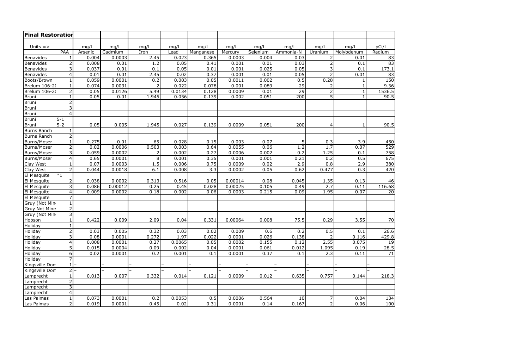| <b>Final Restoration</b> |                          |         |         |                |        |           |         |          |           |                |            |        |
|--------------------------|--------------------------|---------|---------|----------------|--------|-----------|---------|----------|-----------|----------------|------------|--------|
|                          |                          |         |         |                |        |           |         |          |           |                |            |        |
| Units $=$ >              |                          | mg/l    | mg/l    | mg/l           | mg/l   | mg/l      | mg/l    | mg/l     | mg/l      | mg/l           | mg/l       | pCi/l  |
|                          | PAA                      | Arsenic | Cadmium | Iron           | Lead   | Manganese | Mercury | Selenium | Ammonia-N | Uranium        | Molybdenum | Radium |
| Benavides                | 1                        | 0.004   | 0.0003  | 2.45           | 0.023  | 0.365     | 0.0003  | 0.004    | 0.03      | 2              | 0.01       | 83     |
| Benavides                | $\overline{2}$           | 0.008   | 0.01    | 1.2            | 0.05   | 0.41      | 0.001   | 0.01     | 0.03      | $\overline{2}$ | 0.1        | 83     |
| Benavides                | 3                        | 0.037   | 0.01    | 0.1            | 0.05   | 0.01      | 0.001   | 0.025    | 0.05      | 3              | 0.1        | 173.1  |
| Benavides                | 4                        | 0.01    | 0.01    | 2.45           | 0.02   | 0.37      | 0.001   | 0.01     | 0.05      | $\overline{2}$ | 0.01       | 83     |
| Boots/Brown              |                          | 0.059   | 0.0001  | 0.2            | 0.003  | 0.05      | 0.0011  | 0.002    | 0.5       | 0.28           |            | 150    |
| Brelum 106-20            |                          | 0.074   | 0.0031  | $\overline{2}$ | 0.022  | 0.078     | 0.001   | 0.089    | 29        |                |            | 9.36   |
| Brelum 106-20            | $\overline{2}$           | 0.05    | 0.0126  | 5.49           | 0.0134 | 0.128     | 0.0009  | 0.01     | 29        | $\overline{2}$ |            | 1536.5 |
| <b>Bruni</b>             |                          | 0.05    | 0.01    | 1.945          | 0.056  | 0.139     | 0.002   | 0.051    | 200       | $\overline{5}$ |            | 90.5   |
| <b>Bruni</b>             | $\overline{2}$           |         |         |                |        |           |         |          |           |                |            |        |
| <b>Bruni</b>             | 3                        |         |         |                |        |           |         |          |           |                |            |        |
| Bruni                    | 4                        |         |         |                |        |           |         |          |           |                |            |        |
| <b>Bruni</b>             | $5 - 1$                  |         |         |                |        |           |         |          |           |                |            |        |
| <b>Bruni</b>             | $5 - 2$                  | 0.05    | 0.005   | 1.945          | 0.027  | 0.139     | 0.0009  | 0.051    | 200       | 4              |            | 90.5   |
| <b>Burns Ranch</b>       | 1                        |         |         |                |        |           |         |          |           |                |            |        |
| Burns Ranch              | $\overline{2}$           |         |         |                |        |           |         |          |           |                |            |        |
| Burns/Moser              |                          | 0.275   | 0.01    | 65             | 0.028  | 0.15      | 0.003   | 0.07     | 5         | 0.3            | 3.9        | 450    |
| Burns/Moser              | $\overline{2}$           | 0.02    | 0.0006  | 0.503          | 0.003  | 0.64      | 0.0055  | 0.06     | 1.2       | 1.7            | 0.07       | 529    |
| Burns/Moser              | $\overline{3}$           | 0.059   | 0.0002  |                | 0.002  | 0.27      | 0.0006  | 0.002    | 0.2       | 1.25           | 0.1        | 758    |
| Burns/Moser              | 4                        | 0.65    | 0.0001  | 8 <sup>1</sup> | 0.001  | 0.35      | 0.001   | 0.001    | 0.21      | 0.2            | 0.5        | 675    |
| Clay West                | $\mathbf{1}$             | 0.07    | 0.0003  | 1.5            | 0.006  | 0.75      | 0.0009  | 0.02     | 2.9       | 0.8            | 2.9        | 380    |
| Clay West                | $\overline{2}$           | 0.044   | 0.0018  | 6.1            | 0.008  | 3.3       | 0.0002  | 0.05     | 0.62      | 0.477          | 0.3        | 420    |
| El Mesquite              | $*1$                     |         |         |                |        |           |         |          |           |                |            |        |
| El Mesquite              | $\overline{2}$           | 0.038   | 0.0002  | 0.313          | 0.516  | 0.05      | 0.00014 | 0.08     | 0.045     | 1.35           | 0.13       | 46     |
| El Mesquite              | $\overline{3}$           | 0.086   | 0.00012 | 0.25           | 0.45   | 0.028     | 0.00025 | 0.105    | 0.49      | 2.7            | 0.11       | 116.68 |
| El Mesquite              | 4                        | 0.009   | 0.0002  | 0.18           | 0.002  | 0.06      | 0.0003  | 0.215    | 0.09      | 1.95           | 0.07       | 20     |
| El Mesquite              | $\overline{7}$           |         |         |                |        |           |         |          |           |                |            |        |
| Gruy (Not Min            | $\mathbf{1}$             |         |         |                |        |           |         |          |           |                |            |        |
| <b>Gruy Not Mine</b>     | $\overline{2}$           |         |         |                |        |           |         |          |           |                |            |        |
| Gruy (Not Min            | $\mathfrak{Z}$           |         |         |                |        |           |         |          |           |                |            |        |
| Hobson                   |                          | 0.422   | 0.009   | 2.09           | 0.04   | 0.331     | 0.00064 | 0.008    | 75.5      | 0.29           | 3.55       | 70     |
| Holiday                  | 1                        |         |         |                |        |           |         |          |           |                |            |        |
| Holiday                  | $\overline{2}$           | 0.03    | 0.005   | 0.32           | 0.03   | 0.02      | 0.009   | 0.6      | 0.2       | 0.5            | 0.1        | 26.6   |
| Holiday                  | 3                        | 0.08    | 0.0001  | 0.272          | 1.97   | 0.022     | 0.0001  | 0.026    | 0.138     |                | 0.116      | 429.8  |
| Holiday                  | 4                        | 0.008   | 0.0001  | 0.27           | 0.0065 | 0.05      | 0.0002  | 0.155    | 0.12      | 2.55           | 0.075      | 19     |
| Holiday                  | 5                        | 0.015   | 0.0004  | 0.09           | 0.002  | 0.04      | 0.0001  | 0.061    | 0.012     | 1.095          | 0.19       | 28.5   |
| Holiday                  | $6 \overline{6}$         | 0.02    | 0.0001  | 0.2            | 0.001  | 0.1       | 0.0001  | 0.37     | 0.1       | 2.3            | 0.11       | 71     |
| Holiday                  | $\overline{7}$           |         |         |                |        |           |         |          |           |                |            |        |
| Kingsville Dom           | $1\vert$                 |         |         |                |        |           |         |          |           |                |            |        |
| Kingsville Dom           | 2 <sup>1</sup>           |         |         |                |        |           |         |          |           |                |            |        |
|                          |                          | 0.013   | 0.007   | 0.332          | 0.014  | 0.121     | 0.0009  | 0.012    | 0.635     | 0.757          | 0.144      | 218.3  |
| Lamprecht                |                          |         |         |                |        |           |         |          |           |                |            |        |
| Lamprecht                | $\overline{2}$<br>3      |         |         |                |        |           |         |          |           |                |            |        |
| Lamprecht                |                          |         |         |                |        |           |         |          |           |                |            |        |
| Lamprecht                | $\overline{\mathcal{A}}$ |         |         |                |        |           |         |          |           |                |            |        |
| Las Palmas               |                          | 0.073   | 0.0001  | 0.2            | 0.0053 | 0.5       | 0.0006  | 0.564    | 10        | 7              | 0.04       | 134    |
| Las Palmas               | $\overline{2}$           | 0.019   | 0.0001  | 0.45           | 0.02   | 0.31      | 0.0001  | 0.14     | 0.167     | $\overline{2}$ | 0.06       | 100    |

| Ί                                                                     |  |
|-----------------------------------------------------------------------|--|
| $\overline{\phantom{a}}$<br>u<br>I<br>ì<br>Ĭ                          |  |
| ξ<br>3<br>ξ                                                           |  |
| ٤<br>$\overline{\mathbf{S}}$<br>Š                                     |  |
| $\mathbf{1}$<br>ξ<br>֖֖֪֪֪ׅ֪֪֪֚֚֚֚֚֚֚֚֚֚֚֚֚֚֚֚֚֚֚֡֝֝֝֝֝֝֝֝֝֝ <b>֓</b> |  |
| Š<br>ξ<br>Ŝ.                                                          |  |
| $\frac{1}{2}$<br>$\mathbf{1}$<br>J<br>50                              |  |
| $\frac{1}{2}$<br>9.<br>36<br>5                                        |  |
| $\overline{5}$<br>.<br>.<br>.<br>I<br>36<br>ï<br>5<br>ı<br>C          |  |
| 90                                                                    |  |
|                                                                       |  |
|                                                                       |  |
|                                                                       |  |
| I<br>90                                                               |  |
|                                                                       |  |
|                                                                       |  |
| I<br>1<br>)<br>(                                                      |  |
| D<br>)                                                                |  |
| ı<br>ō٤<br>3<br>$\overline{\phantom{a}}$                              |  |
| 5<br>5<br>C<br>$\epsilon$                                             |  |
| 380<br>20<br>4.                                                       |  |
|                                                                       |  |
| 46                                                                    |  |
| $\frac{1}{2}$<br>5.68<br>3                                            |  |
| (<br>)<br>,                                                           |  |
|                                                                       |  |
|                                                                       |  |
|                                                                       |  |
|                                                                       |  |
| 70                                                                    |  |
| ĺ                                                                     |  |
| ¢<br>រ<br>)<br>S                                                      |  |
| ١                                                                     |  |
| វ<br>}                                                                |  |
| 1                                                                     |  |
|                                                                       |  |
|                                                                       |  |
|                                                                       |  |
| ,<br>j<br>٤<br>ξ<br>1<br>3                                            |  |
|                                                                       |  |
|                                                                       |  |
| 1<br>ļ                                                                |  |
| 100                                                                   |  |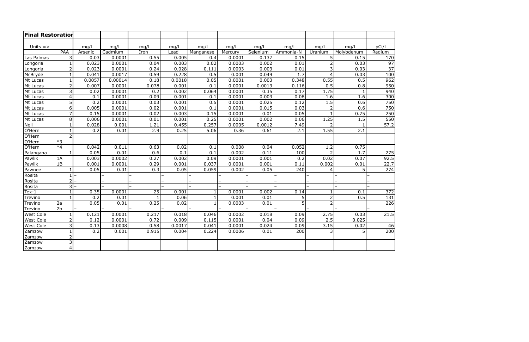| <b>Final Restoration</b> |                 |         |         |       |        |              |         |          |                |                |            |                 |
|--------------------------|-----------------|---------|---------|-------|--------|--------------|---------|----------|----------------|----------------|------------|-----------------|
|                          |                 |         |         |       |        |              |         |          |                |                |            |                 |
| Units $=$ >              |                 | mg/l    | mg/l    | mg/l  | mg/l   | mg/l         | mg/l    | mg/l     | mg/l           | mg/l           | mg/l       | pCi/l           |
|                          | <b>PAA</b>      | Arsenic | Cadmium | Iron  | Lead   | Manganese    | Mercury | Selenium | Ammonia-N      | Uranium        | Molybdenum | Radium          |
| Las Palmas               | 3               | 0.03    | 0.0001  | 0.55  | 0.005  | 0.4          | 0.0001  | 0.137    | 0.15           | 5 <sup>1</sup> | 0.15       | 170             |
| Longoria                 | $\mathbf{1}$    | 0.023   | 0.0001  | 0.04  | 0.003  | 0.02         | 0.0003  | 0.002    | 0.01           | $\overline{2}$ | 0.03       | 97              |
| Longoria                 | $\overline{2}$  | 0.023   | 0.0001  | 0.24  | 0.028  | 0.111        | 0.0003  | 0.003    | 0.01           | $\overline{3}$ | 0.03       | $\overline{37}$ |
| McBryde                  | $\mathbf{1}$    | 0.041   | 0.0017  | 0.59  | 0.228  | 0.5          | 0.001   | 0.049    | 1.7            | 4              | 0.03       | 100             |
| Mt Lucas                 | $\mathbf{1}$    | 0.0057  | 0.00014 | 0.18  | 0.0018 | 0.05         | 0.0001  | 0.003    | 0.348          | 0.55           | 0.5        | 962             |
| Mt Lucas                 | $\overline{2}$  | 0.007   | 0.0001  | 0.078 | 0.001  | 0.1          | 0.0001  | 0.0013   | 0.116          | 0.5            | 0.8        | 950             |
| Mt Lucas                 | 3               | 0.02    | 0.0001  | 0.2   | 0.002  | 0.064        | 0.0001  | 0.35     | 0.17           | 1.75           | 1          | 940             |
| Mt Lucas                 | $\overline{4}$  | 0.1     | 0.0001  | 0.09  | 0.001  | 0.1          | 0.0001  | 0.003    | 0.08           | 1.6            | 1.6        | 300             |
| Mt Lucas                 | 5               | 0.2     | 0.0001  | 0.03  | 0.001  | 0.5          | 0.0001  | 0.025    | 0.12           | 1.5            | 0.6        | 750             |
| Mt Lucas                 | 6               | 0.005   | 0.0001  | 0.02  | 0.001  | 0.1          | 0.0001  | 0.015    | 0.03           | 2              | 0.6        | 750             |
| Mt Lucas                 | $\overline{7}$  | 0.15    | 0.0001  | 0.02  | 0.003  | 0.15         | 0.0001  | 0.01     | 0.05           |                | 0.75       | 250             |
| Mt Lucas                 | 8               | 0.006   | 0.0001  | 0.01  | 0.001  | 0.25         | 0.0001  | 0.002    | 0.06           | 1.25           | 1.5        | 550             |
| Nell                     | $\mathbf{1}$    | 0.028   | 0.001   | 1.21  | 0.455  | 0.257        | 0.0005  | 0.0012   | 7.49           |                |            | 57.2            |
| O'Hern                   | $\mathbf{1}$    | 0.2     | 0.01    | 2.9   | 0.25   | 5.06         | 0.36    | 0.61     | 2.1            | 1.55           | 2.1        |                 |
| $O'$ Hern                | $\overline{2}$  |         |         |       |        |              |         |          |                |                |            |                 |
| O'Hern                   | $*3$            |         |         |       |        |              |         |          |                |                |            |                 |
| O'Hern                   | $*4$            | 0.042   | 0.011   | 0.63  | 0.02   | 0.1          | 0.008   | 0.04     | 0.052          | 1.2            | 0.75       |                 |
| Palangana                | $\mathbf{1}$    | 0.05    | 0.01    | 0.6   | 0.1    | 0.1          | 0.002   | 0.11     | 100            |                | 1.7        | 275             |
| Pawlik                   | 1A              | 0.003   | 0.0002  | 0.27  | 0.002  | 0.09         | 0.0001  | 0.001    | 0.2            | 0.02           | 0.07       | 92.5            |
| Pawlik                   | 1B              | 0.001   | 0.0001  | 0.29  | 0.001  | 0.037        | 0.0001  | 0.001    | 0.11           | 0.002          | 0.01       | 22.7            |
| Pawnee                   | 1               | 0.05    | 0.01    | 0.3   | 0.05   | 0.059        | 0.002   | 0.05     | 240            | 4              | 5          | 274             |
| Rosita                   | $1\vert$        |         |         |       |        |              |         |          |                |                |            |                 |
| Rosita                   | $\overline{2}$  |         |         |       |        |              |         |          |                |                |            |                 |
| Rosita                   | 3               |         |         |       |        |              |         |          |                |                |            |                 |
| Tex-1                    | $\mathbf{1}$    | 0.35    | 0.0001  | 25    | 0.001  | $\mathbf{1}$ | 0.0001  | 0.002    | 0.14           |                | 0.1        | 372             |
| Trevino                  | $\mathbf{1}$    | 0.2     | 0.01    |       | 0.06   | $\mathbf{1}$ | 0.001   | 0.01     | 5              | $\overline{2}$ | 0.5        | 131             |
| Trevino                  | 2a              | 0.05    | 0.01    | 0.25  | 0.02   | $\mathbf{1}$ | 0.0003  | 0.01     | $\overline{5}$ | $\overline{2}$ |            | 226             |
| Trevino                  | $\overline{2b}$ |         |         |       |        |              |         |          |                |                |            |                 |
| West Cole                |                 | 0.121   | 0.0001  | 0.217 | 0.018  | 0.046        | 0.0002  | 0.018    | 0.09           | 2.75           | 0.03       | 21.5            |
| <b>West Cole</b>         | $\overline{2}$  | 0.12    | 0.0001  | 0.72  | 0.009  | 0.115        | 0.0001  | 0.04     | 0.09           | 2.5            | 0.025      |                 |
| West Cole                | 3               | 0.13    | 0.0008  | 0.58  | 0.0017 | 0.041        | 0.0001  | 0.024    | 0.09           | 3.15           | 0.02       | 46              |
| Zamzow                   | $\mathbf{1}$    | 0.2     | 0.001   | 0.915 | 0.004  | 0.224        | 0.0006  | 0.01     | 200            | 3 <sup>1</sup> | 5          | 200             |
| Zamzow                   | $\overline{2}$  |         |         |       |        |              |         |          |                |                |            |                 |
| Zamzow                   | 3               |         |         |       |        |              |         |          |                |                |            |                 |
| Zamzow                   | 4               |         |         |       |        |              |         |          |                |                |            |                 |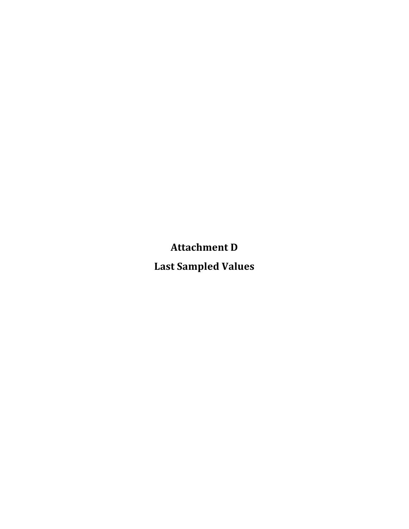**Attachment
D**

**Last
Sampled
Values**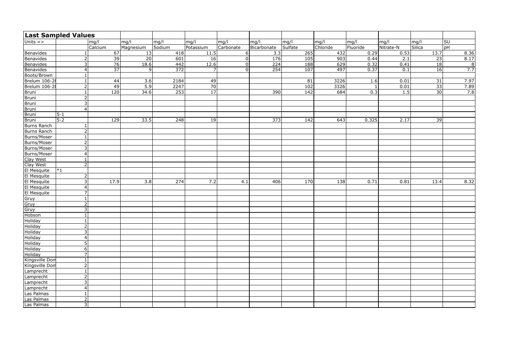| <b>Last Sampled Values</b> |                 |                 |                |                  |                 |           |                  |         |          |          |           |                 |                     |
|----------------------------|-----------------|-----------------|----------------|------------------|-----------------|-----------|------------------|---------|----------|----------|-----------|-----------------|---------------------|
| Units $\Rightarrow$        |                 | mg/l            | mg/l           | mg/l             | mg/l            | mg/l      | mg/l             | mg/l    | mg/l     | mg/l     | mg/l      | mg/l            | lsu                 |
|                            |                 | Calcium         | Magnesium      | Sodium           | Potassium       | Carbonate | Bicarbonate      | Sulfate | Chloride | Fluoride | Nitrate-N | Silica          | pH                  |
| Benavides                  |                 | 67              | 13             | 418              | 11.5            | 6         | 3.3              | 265     | 432      | 0.29     | 0.53      | 13.7            | 8.36                |
| Benavides                  |                 | 39              | 20             | 601              | 16              |           | $\overline{176}$ | 105     | 903      | 0.44     | 2.1       | 23              | 8.17                |
| Benavides                  | 3               | 76              | 18.6           | 442              | 12.6            |           | $\overline{224}$ | 188     | 629      | 0.32     | 0.41      | 18              | $\overline{\infty}$ |
| Benavides                  | 4               | $\overline{37}$ | $\overline{9}$ | $\overline{372}$ | $\overline{7}$  | U         | 254              | 107     | 497      | 0.37     | 0.1       | 16              | 7.7                 |
| Boots/Brown                |                 |                 |                |                  |                 |           |                  |         |          |          |           |                 |                     |
| Brelum 106-20              |                 | 44              | 3.6            | 2184             | 49              |           |                  | 81      | 3226     | 1.6      | 0.01      | 31              | 7.97                |
| <b>Brelum 106-20</b>       | 2               | 49              | 5.9            | 2247             | $\overline{70}$ |           |                  | 102     | 3326     |          | 0.01      | $\overline{33}$ | 7.89                |
| Bruni                      |                 | $\boxed{120}$   | 34.6           | 253              | 17              |           | 390              | 142     | 684      | 0.3      | 1.5       | 30              | 7.8                 |
| Bruni                      | $\overline{2}$  |                 |                |                  |                 |           |                  |         |          |          |           |                 |                     |
| Bruni                      | 3 <sup>1</sup>  |                 |                |                  |                 |           |                  |         |          |          |           |                 |                     |
| Bruni                      | $\overline{4}$  |                 |                |                  |                 |           |                  |         |          |          |           |                 |                     |
| Bruni                      | $5-1$           |                 |                |                  |                 |           |                  |         |          |          |           |                 |                     |
| Bruni                      | $5-2$           | 129             | 33.5           | 248              | 19              |           | 373              | 142     | 643      | 0.325    | 2.17      | 39              |                     |
| Burns Ranch                |                 |                 |                |                  |                 |           |                  |         |          |          |           |                 |                     |
| Burns Ranch                | $\overline{2}$  |                 |                |                  |                 |           |                  |         |          |          |           |                 |                     |
| Burns/Moser                |                 |                 |                |                  |                 |           |                  |         |          |          |           |                 |                     |
| Burns/Moser                | $\mathcal{D}$   |                 |                |                  |                 |           |                  |         |          |          |           |                 |                     |
| Burns/Moser                |                 |                 |                |                  |                 |           |                  |         |          |          |           |                 |                     |
| Burns/Moser                | 4               |                 |                |                  |                 |           |                  |         |          |          |           |                 |                     |
| Clay West                  |                 |                 |                |                  |                 |           |                  |         |          |          |           |                 |                     |
| Clay West                  | $\mathcal{D}$   |                 |                |                  |                 |           |                  |         |          |          |           |                 |                     |
| El Mesquite                | $*1$            |                 |                |                  |                 |           |                  |         |          |          |           |                 |                     |
| El Mesquite                | $\overline{2}$  |                 |                |                  |                 |           |                  |         |          |          |           |                 |                     |
| El Mesquite                | 3               | 17.9            | 3.8            | 274              | 7.2             | 4.1       | 406              | 170     | 138      | 0.71     | 0.81      | 13.4            | 8.32                |
| El Mesquite                | $\vert 4 \vert$ |                 |                |                  |                 |           |                  |         |          |          |           |                 |                     |
| El Mesquite                | $\overline{7}$  |                 |                |                  |                 |           |                  |         |          |          |           |                 |                     |
| Gruy                       |                 |                 |                |                  |                 |           |                  |         |          |          |           |                 |                     |
| Gruy                       | $\overline{2}$  |                 |                |                  |                 |           |                  |         |          |          |           |                 |                     |
| Gruy                       | 3               |                 |                |                  |                 |           |                  |         |          |          |           |                 |                     |
| Hobson                     |                 |                 |                |                  |                 |           |                  |         |          |          |           |                 |                     |
| <b>Holiday</b>             |                 |                 |                |                  |                 |           |                  |         |          |          |           |                 |                     |
| Holiday                    | $\overline{2}$  |                 |                |                  |                 |           |                  |         |          |          |           |                 |                     |
| Holiday                    | 3               |                 |                |                  |                 |           |                  |         |          |          |           |                 |                     |
| Holiday                    | $\overline{4}$  |                 |                |                  |                 |           |                  |         |          |          |           |                 |                     |
| Holiday                    | 5               |                 |                |                  |                 |           |                  |         |          |          |           |                 |                     |
| Holiday                    | 6               |                 |                |                  |                 |           |                  |         |          |          |           |                 |                     |
| Holiday                    |                 |                 |                |                  |                 |           |                  |         |          |          |           |                 |                     |
| Kingsville Dom             |                 |                 |                |                  |                 |           |                  |         |          |          |           |                 |                     |
| Kingsville Dom             | C.              |                 |                |                  |                 |           |                  |         |          |          |           |                 |                     |
| Lamprecht                  |                 |                 |                |                  |                 |           |                  |         |          |          |           |                 |                     |
| Lamprecht                  |                 |                 |                |                  |                 |           |                  |         |          |          |           |                 |                     |
| Lamprecht                  | 3               |                 |                |                  |                 |           |                  |         |          |          |           |                 |                     |
| Lamprecht                  | $\overline{4}$  |                 |                |                  |                 |           |                  |         |          |          |           |                 |                     |
| Las Palmas                 |                 |                 |                |                  |                 |           |                  |         |          |          |           |                 |                     |
| Las Palmas                 | $\overline{2}$  |                 |                |                  |                 |           |                  |         |          |          |           |                 |                     |
| Las Palmas                 | 3               |                 |                |                  |                 |           |                  |         |          |          |           |                 |                     |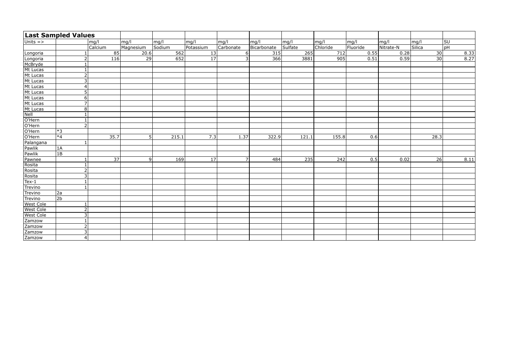|                          | <b>Last Sampled Values</b> |         |                 |                 |        |                 |                |                  |         |                  |          |           |                 |      |
|--------------------------|----------------------------|---------|-----------------|-----------------|--------|-----------------|----------------|------------------|---------|------------------|----------|-----------|-----------------|------|
| $\sqrt{Units}$ =>        |                            | mg/l    |                 | mg/l            | mg/l   | mg/l            | $\vert$ mg/l   | mg/l             | mg/l    | mg/l             | mg/l     | mg/l      | mg/l            | SU   |
|                          |                            | Calcium |                 | Magnesium       | Sodium | Potassium       | Carbonate      | Bicarbonate      | Sulfate | Chloride         | Fluoride | Nitrate-N | Silica          | pH   |
| Longoria                 |                            |         | 85              | 20.6            | 562    | 13              | $6 \mid$       | 315              | 265     | $\overline{712}$ | 0.55     | 0.28      | 30              | 8.33 |
| Longoria                 | $\overline{2}$             |         | 116             | $\overline{29}$ | 652    | $\overline{17}$ | $\overline{3}$ | $\overline{366}$ | 3881    | 905              | 0.51     | 0.59      | $\overline{30}$ | 8.27 |
| McBryde                  |                            |         |                 |                 |        |                 |                |                  |         |                  |          |           |                 |      |
| Mt Lucas                 |                            |         |                 |                 |        |                 |                |                  |         |                  |          |           |                 |      |
| Mt Lucas                 | 2                          |         |                 |                 |        |                 |                |                  |         |                  |          |           |                 |      |
| Mt Lucas                 | 3                          |         |                 |                 |        |                 |                |                  |         |                  |          |           |                 |      |
| Mt Lucas                 | $\vert$                    |         |                 |                 |        |                 |                |                  |         |                  |          |           |                 |      |
| Mt Lucas                 | 5 <sup>1</sup>             |         |                 |                 |        |                 |                |                  |         |                  |          |           |                 |      |
| Mt Lucas                 | $6 \mid$                   |         |                 |                 |        |                 |                |                  |         |                  |          |           |                 |      |
| Mt Lucas                 | $\overline{7}$             |         |                 |                 |        |                 |                |                  |         |                  |          |           |                 |      |
| Mt Lucas                 | 8 <sup>1</sup>             |         |                 |                 |        |                 |                |                  |         |                  |          |           |                 |      |
| $\overline{\text{Nell}}$ |                            |         |                 |                 |        |                 |                |                  |         |                  |          |           |                 |      |
| O'Hern                   | -1                         |         |                 |                 |        |                 |                |                  |         |                  |          |           |                 |      |
| O'Hern                   | $\overline{2}$             |         |                 |                 |        |                 |                |                  |         |                  |          |           |                 |      |
| O'Hern                   | $*3$                       |         |                 |                 |        |                 |                |                  |         |                  |          |           |                 |      |
| O'Hern                   | $*4$                       |         | 35.7            | 5 <sup>1</sup>  | 215.1  | 7.3             | 1.37           | 322.9            | 121.1   | 155.8            | 0.6      |           | 28.3            |      |
| Palangana                |                            |         |                 |                 |        |                 |                |                  |         |                  |          |           |                 |      |
| Pawlik                   | 1A                         |         |                 |                 |        |                 |                |                  |         |                  |          |           |                 |      |
| Pawlik                   | 1B                         |         |                 |                 |        |                 |                |                  |         |                  |          |           |                 |      |
| Pawnee                   |                            |         | $\overline{37}$ | $\overline{9}$  | 169    | $\overline{17}$ | $\overline{7}$ | 484              | 235     | 242              | 0.5      | 0.02      | 26              | 8.11 |
| Rosita                   |                            |         |                 |                 |        |                 |                |                  |         |                  |          |           |                 |      |
| Rosita                   | $\overline{2}$             |         |                 |                 |        |                 |                |                  |         |                  |          |           |                 |      |
| Rosita                   | 3                          |         |                 |                 |        |                 |                |                  |         |                  |          |           |                 |      |
| $Tex-1$                  |                            |         |                 |                 |        |                 |                |                  |         |                  |          |           |                 |      |
| Trevino                  |                            |         |                 |                 |        |                 |                |                  |         |                  |          |           |                 |      |
| Trevino                  | 2a                         |         |                 |                 |        |                 |                |                  |         |                  |          |           |                 |      |
| Trevino                  | $\overline{2b}$            |         |                 |                 |        |                 |                |                  |         |                  |          |           |                 |      |
| <b>West Cole</b>         |                            |         |                 |                 |        |                 |                |                  |         |                  |          |           |                 |      |
| <b>West Cole</b>         | $\mathcal{D}$              |         |                 |                 |        |                 |                |                  |         |                  |          |           |                 |      |
| <b>West Cole</b>         | 3                          |         |                 |                 |        |                 |                |                  |         |                  |          |           |                 |      |
| Zamzow                   |                            |         |                 |                 |        |                 |                |                  |         |                  |          |           |                 |      |
| Zamzow                   | $\overline{2}$             |         |                 |                 |        |                 |                |                  |         |                  |          |           |                 |      |
| Zamzow                   | 3                          |         |                 |                 |        |                 |                |                  |         |                  |          |           |                 |      |
| Zamzow                   | $\overline{4}$             |         |                 |                 |        |                 |                |                  |         |                  |          |           |                 |      |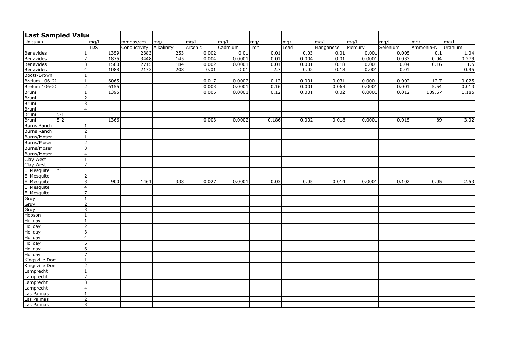|                      | Last Sampled Valu |            |              |                  |         |         |       |       |           |         |          |           |         |
|----------------------|-------------------|------------|--------------|------------------|---------|---------|-------|-------|-----------|---------|----------|-----------|---------|
| Units $=$ >          |                   | mg/l       | mmhos/cm     | mg/l             | mg/l    | mg/l    | mg/l  | mg/l  | mg/l      | mg/l    | mg/l     | mg/l      | mg/l    |
|                      |                   | <b>TDS</b> | Conductivity | Alkalinity       | Arsenic | Cadmium | Iron  | Lead  | Manganese | Mercury | Selenium | Ammonia-N | Uranium |
| <b>Benavides</b>     |                   | 1359       | 2383         | 253              | 0.002   | 0.01    | 0.01  | 0.03  | 0.01      | 0.001   | 0.005    | 0.1       | 1.04    |
| Benavides            | 2                 | 1875       | 3448         | $\overline{145}$ | 0.004   | 0.0001  | 0.01  | 0.004 | 0.01      | 0.0001  | 0.033    | 0.04      | 0.279   |
| Benavides            | 3                 | 1560       | 2715         | 184              | 0.002   | 0.0001  | 0.01  | 0.001 | 0.18      | 0.001   | 0.04     | 0.16      | 1.5     |
| <b>Benavides</b>     |                   | 1088       | 2173         | $\overline{208}$ | 0.01    | 0.01    | 2.7   | 0.02  | 0.18      | 0.001   | 0.01     |           | 0.95    |
| Boots/Brown          |                   |            |              |                  |         |         |       |       |           |         |          |           |         |
| <b>Brelum 106-20</b> |                   | 6065       |              |                  | 0.017   | 0.0002  | 0.12  | 0.001 | 0.031     | 0.0001  | 0.002    | 12.7      | 0.025   |
| Brelum 106-2         | $\overline{2}$    | 6155       |              |                  | 0.003   | 0.0001  | 0.16  | 0.001 | 0.063     | 0.0001  | 0.001    | 5.54      | 0.013   |
| Bruni                |                   | 1395       |              |                  | 0.005   | 0.0001  | 0.12  | 0.001 | 0.02      | 0.0001  | 0.012    | 109.67    | 1.185   |
| <b>Bruni</b>         |                   |            |              |                  |         |         |       |       |           |         |          |           |         |
| Bruni                | 3                 |            |              |                  |         |         |       |       |           |         |          |           |         |
| Bruni                |                   |            |              |                  |         |         |       |       |           |         |          |           |         |
| Bruni                | $5-1$             |            |              |                  |         |         |       |       |           |         |          |           |         |
| Bruni                | $5-2$             | 1366       |              |                  | 0.003   | 0.0002  | 0.186 | 0.002 | 0.018     | 0.0001  | 0.015    | 89        | 3.02    |
| Burns Ranch          |                   |            |              |                  |         |         |       |       |           |         |          |           |         |
| <b>Burns Ranch</b>   |                   |            |              |                  |         |         |       |       |           |         |          |           |         |
| Burns/Moser          |                   |            |              |                  |         |         |       |       |           |         |          |           |         |
| Burns/Moser          |                   |            |              |                  |         |         |       |       |           |         |          |           |         |
| Burns/Moser          | 3                 |            |              |                  |         |         |       |       |           |         |          |           |         |
| Burns/Moser          |                   |            |              |                  |         |         |       |       |           |         |          |           |         |
| Clay West            |                   |            |              |                  |         |         |       |       |           |         |          |           |         |
| Clay West            |                   |            |              |                  |         |         |       |       |           |         |          |           |         |
| El Mesquite          | $*1$              |            |              |                  |         |         |       |       |           |         |          |           |         |
| El Mesquite          | $\overline{2}$    |            |              |                  |         |         |       |       |           |         |          |           |         |
| El Mesquite          | $\overline{3}$    | 900        | 1461         | 338              | 0.027   | 0.0001  | 0.03  | 0.05  | 0.014     | 0.0001  | 0.102    | 0.05      | 2.53    |
| El Mesquite          | 4                 |            |              |                  |         |         |       |       |           |         |          |           |         |
| El Mesquite          | $\overline{ }$    |            |              |                  |         |         |       |       |           |         |          |           |         |
| Gruy                 |                   |            |              |                  |         |         |       |       |           |         |          |           |         |
| Gruy                 | $\overline{2}$    |            |              |                  |         |         |       |       |           |         |          |           |         |
| Gruy                 | $\overline{3}$    |            |              |                  |         |         |       |       |           |         |          |           |         |
| Hobson               |                   |            |              |                  |         |         |       |       |           |         |          |           |         |
| <b>Holiday</b>       |                   |            |              |                  |         |         |       |       |           |         |          |           |         |
| Holiday              | $2^{\prime}$      |            |              |                  |         |         |       |       |           |         |          |           |         |
| Holiday              | 3                 |            |              |                  |         |         |       |       |           |         |          |           |         |
| Holiday              |                   |            |              |                  |         |         |       |       |           |         |          |           |         |
| Holiday              |                   |            |              |                  |         |         |       |       |           |         |          |           |         |
| Holiday              | 6                 |            |              |                  |         |         |       |       |           |         |          |           |         |
| Holiday              |                   |            |              |                  |         |         |       |       |           |         |          |           |         |
| Kingsville Dom       |                   |            |              |                  |         |         |       |       |           |         |          |           |         |
| Kingsville Dom       |                   |            |              |                  |         |         |       |       |           |         |          |           |         |
| Lamprecht            |                   |            |              |                  |         |         |       |       |           |         |          |           |         |
| Lamprecht            |                   |            |              |                  |         |         |       |       |           |         |          |           |         |
| Lamprecht            |                   |            |              |                  |         |         |       |       |           |         |          |           |         |
| Lamprecht            |                   |            |              |                  |         |         |       |       |           |         |          |           |         |
| Las Palmas           |                   |            |              |                  |         |         |       |       |           |         |          |           |         |
| Las Palmas           | $\overline{2}$    |            |              |                  |         |         |       |       |           |         |          |           |         |
| Las Palmas           | $\overline{3}$    |            |              |                  |         |         |       |       |           |         |          |           |         |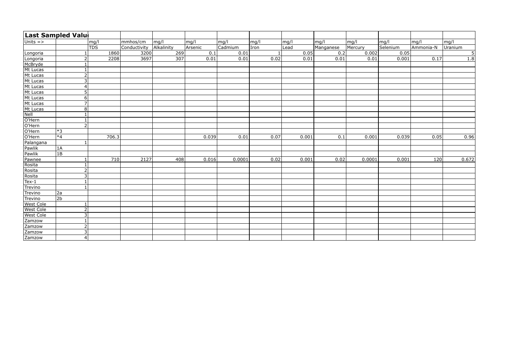|                  | Last Sampled Valu |            |       |              |            |                  |         |      |       |           |         |          |           |                  |
|------------------|-------------------|------------|-------|--------------|------------|------------------|---------|------|-------|-----------|---------|----------|-----------|------------------|
| Units $=$ >      |                   | mg/l       |       | mmhos/cm     | mg/l       | mg/l             | mg/l    | mg/l | mg/l  | mg/l      | mg/l    | mg/l     | mg/l      | mg/l             |
|                  |                   | <b>TDS</b> |       | Conductivity | Alkalinity | Arsenic          | Cadmium | Iron | Lead  | Manganese | Mercury | Selenium | Ammonia-N | Uranium          |
| Longoria         |                   |            | 1860  | 3200         | 269        | $\overline{0.1}$ | 0.01    |      | 0.05  | 0.2       | 0.002   | 0.05     |           | $\overline{5}$   |
| Longoria         | $\overline{2}$    |            | 2208  | 3697         | 307        | 0.01             | 0.01    | 0.02 | 0.01  | 0.01      | 0.01    | 0.001    | 0.17      | $\overline{1.8}$ |
| McBryde          |                   |            |       |              |            |                  |         |      |       |           |         |          |           |                  |
| Mt Lucas         |                   |            |       |              |            |                  |         |      |       |           |         |          |           |                  |
| Mt Lucas         | 2 <sup>1</sup>    |            |       |              |            |                  |         |      |       |           |         |          |           |                  |
| Mt Lucas         | 3 <sup>1</sup>    |            |       |              |            |                  |         |      |       |           |         |          |           |                  |
| Mt Lucas         | $\vert$           |            |       |              |            |                  |         |      |       |           |         |          |           |                  |
| Mt Lucas         | 5 <sup>1</sup>    |            |       |              |            |                  |         |      |       |           |         |          |           |                  |
| Mt Lucas         | 6 <sup>1</sup>    |            |       |              |            |                  |         |      |       |           |         |          |           |                  |
| Mt Lucas         | 7 <sup>1</sup>    |            |       |              |            |                  |         |      |       |           |         |          |           |                  |
| Mt Lucas         | 8 <sup>1</sup>    |            |       |              |            |                  |         |      |       |           |         |          |           |                  |
| <b>Nell</b>      |                   |            |       |              |            |                  |         |      |       |           |         |          |           |                  |
| O'Hern           | 1                 |            |       |              |            |                  |         |      |       |           |         |          |           |                  |
| O'Hern           | 2 <sup>1</sup>    |            |       |              |            |                  |         |      |       |           |         |          |           |                  |
| O'Hern           | $*3$              |            |       |              |            |                  |         |      |       |           |         |          |           |                  |
| O'Hern           | $*4$              |            | 706.3 |              |            | 0.039            | 0.01    | 0.07 | 0.001 | 0.1       | 0.001   | 0.039    | 0.05      | 0.96             |
| Palangana        |                   |            |       |              |            |                  |         |      |       |           |         |          |           |                  |
| Pawlik           | $\overline{1A}$   |            |       |              |            |                  |         |      |       |           |         |          |           |                  |
| Pawlik           | 1B                |            |       |              |            |                  |         |      |       |           |         |          |           |                  |
| Pawnee           |                   |            | 710   | 2127         | 408        | 0.016            | 0.0001  | 0.02 | 0.001 | 0.02      | 0.0001  | 0.001    | 120       | 0.672            |
| Rosita           |                   |            |       |              |            |                  |         |      |       |           |         |          |           |                  |
| Rosita           | 2 <sup>1</sup>    |            |       |              |            |                  |         |      |       |           |         |          |           |                  |
| Rosita           | $\overline{3}$    |            |       |              |            |                  |         |      |       |           |         |          |           |                  |
| Tex-1            |                   |            |       |              |            |                  |         |      |       |           |         |          |           |                  |
| <b>Trevino</b>   |                   |            |       |              |            |                  |         |      |       |           |         |          |           |                  |
| Trevino          | 2a                |            |       |              |            |                  |         |      |       |           |         |          |           |                  |
| Trevino          | $\sqrt{2b}$       |            |       |              |            |                  |         |      |       |           |         |          |           |                  |
| <b>West Cole</b> |                   |            |       |              |            |                  |         |      |       |           |         |          |           |                  |
| <b>West Cole</b> | 2 <sup>1</sup>    |            |       |              |            |                  |         |      |       |           |         |          |           |                  |
| <b>West Cole</b> | $\overline{3}$    |            |       |              |            |                  |         |      |       |           |         |          |           |                  |
| Zamzow           | $\mathbf{1}$      |            |       |              |            |                  |         |      |       |           |         |          |           |                  |
| Zamzow           | 2 <sup>1</sup>    |            |       |              |            |                  |         |      |       |           |         |          |           |                  |
| Zamzow           | $\overline{3}$    |            |       |              |            |                  |         |      |       |           |         |          |           |                  |
| Zamzow           | 4 <sup>1</sup>    |            |       |              |            |                  |         |      |       |           |         |          |           |                  |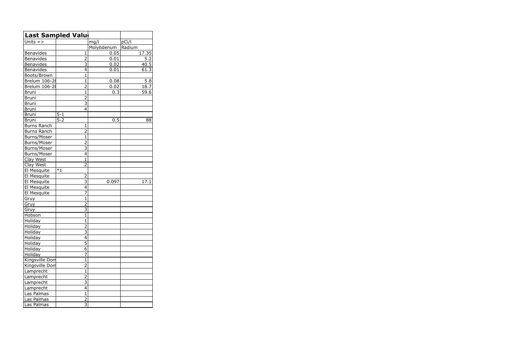| Last Sampled Valu  |         |                         |            |        |
|--------------------|---------|-------------------------|------------|--------|
| Units =>           |         |                         | mg/l       | pCi/l  |
|                    |         |                         | Molybdenum | Radium |
| <b>Benavides</b>   |         | $\mathbf{1}$            | 0.05       | 17.35  |
| <b>Benavides</b>   |         | $\overline{2}$          | 0.01       | 5.2    |
| Benavides          |         | $\overline{3}$          | 0.02       | 40.5   |
| Benavides          |         | 4                       | 0.01       | 61.3   |
| Boots/Brown        |         | $\mathbf{1}$            |            |        |
| Brelum 106-2       |         | $\mathbf{1}$            | 0.08       | 5.8    |
| Brelum 106-2       |         | $\overline{2}$          | 0.02       | 18.7   |
| <b>Bruni</b>       |         | 1                       | 0.3        | 59.6   |
| Bruni              |         | $\overline{c}$          |            |        |
| <b>Bruni</b>       |         | 3                       |            |        |
| <b>Bruni</b>       |         | 4                       |            |        |
| <b>Bruni</b>       | $5 - 1$ |                         |            |        |
| <b>Bruni</b>       | $5 - 2$ |                         | 0.5        | 88     |
| <b>Burns Ranch</b> |         | $\mathbf{1}$            |            |        |
| <b>Burns Ranch</b> |         | 2                       |            |        |
| Burns/Moser        |         | $\mathbf{1}$            |            |        |
| Burns/Moser        |         | $\overline{2}$          |            |        |
| Burns/Moser        |         | 3                       |            |        |
| Burns/Moser        |         | 4                       |            |        |
| Clay West          |         | $\mathbf{1}$            |            |        |
| Clay West          |         | $\overline{2}$          |            |        |
| El Mesquite        | -<br>*1 |                         |            |        |
| El Mesquite        |         | $\overline{2}$          |            |        |
| El Mesquite        |         | 3                       | 0.097      | 17.1   |
| El Mesquite        |         | 4                       |            |        |
| El Mesquite        |         | 7                       |            |        |
| Gruy               |         | $\mathbf{1}$            |            |        |
| Gruy               |         | $\overline{2}$          |            |        |
| Gruy               |         | 3                       |            |        |
| Hobson             |         | $\mathbf{1}$            |            |        |
| Holiday            |         | $\mathbf 1$             |            |        |
| Holiday            |         | ∠                       |            |        |
| Holiday            |         | $\overline{3}$          |            |        |
| Holiday            |         | 4                       |            |        |
| Holiday            |         | $\overline{5}$          |            |        |
| Holiday            |         | $\overline{6}$          |            |        |
| Holiday            |         | 7                       |            |        |
| Kingsville Dom     |         | $\mathbf{1}$            |            |        |
| Kingsville Don     |         | $\overline{2}$          |            |        |
| Lamprecht          |         | $\mathbf{1}$            |            |        |
| Lamprecht          |         | $\overline{2}$          |            |        |
| Lamprecht          |         | $\overline{3}$          |            |        |
| Lamprecht          |         | 4                       |            |        |
| Las Palmas         |         | $\overline{1}$          |            |        |
| Las Palmas         |         | $\overline{2}$          |            |        |
| Las Palmas         |         | $\overline{\mathbf{3}}$ |            |        |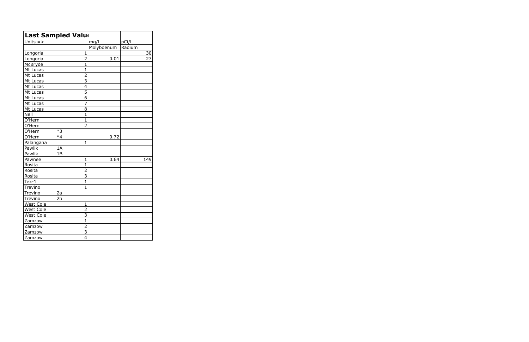|                      | Last Sampled Valu         |            |        |
|----------------------|---------------------------|------------|--------|
| Units $=$ >          |                           | mg/l       | pCi/l  |
|                      |                           | Molybdenum | Radium |
| Longoria             | $\mathbf{1}$              |            | 30     |
| Longoria             | $\overline{2}$            | 0.01       | 27     |
| McBryde              | 1                         |            |        |
| Mt Lucas             | $\mathbf 1$               |            |        |
| Mt Lucas             | $\overline{2}$            |            |        |
| Mt Lucas             | $\overline{\overline{3}}$ |            |        |
| Mt Lucas             | $\overline{4}$            |            |        |
| Mt Lucas             | $\overline{5}$            |            |        |
| Mt Lucas             | 6                         |            |        |
| Mt Lucas             | 7                         |            |        |
| Mt Lucas             | 8                         |            |        |
| Nell                 | $\overline{1}$            |            |        |
| O'Hern               | $\mathbf{1}$              |            |        |
| O'Hern               | $\overline{2}$            |            |        |
| O'Hern               | $*3$                      |            |        |
| $\overline{O}$ 'Hern | $*_{4}$                   | 0.72       |        |
| Palangana            | $\mathbf{1}$              |            |        |
| Pawlik               | 1A                        |            |        |
| Pawlik               | 1B                        |            |        |
| Pawnee               | $\mathbf{1}$              | 0.64       | 149    |
| Rosita               | $\mathbf{1}$              |            |        |
| Rosita               | $\overline{2}$            |            |        |
| Rosita               | 3                         |            |        |
| $Text-1$             | $\mathbf{1}$              |            |        |
| Trevino              | 1                         |            |        |
| Trevino              | 2a                        |            |        |
| Trevino              | 2 <sub>b</sub>            |            |        |
| <b>West Cole</b>     | 1                         |            |        |
| West Cole            | $\overline{2}$            |            |        |
| <b>West Cole</b>     | $\overline{3}$            |            |        |
| Zamzow               | $\overline{1}$            |            |        |
| Zamzow               | $\overline{2}$            |            |        |
| Zamzow               | $\overline{3}$            |            |        |
| Zamzow               | $\overline{4}$            |            |        |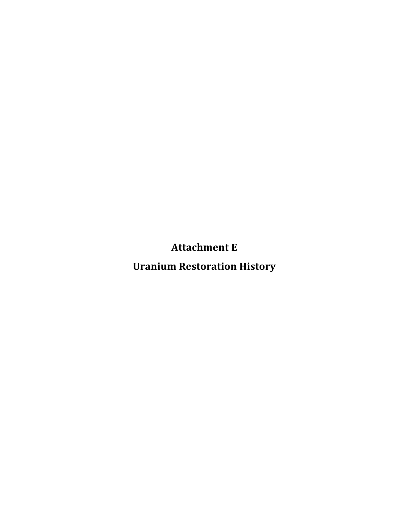**Attachment
E**

**Uranium
Restoration
History**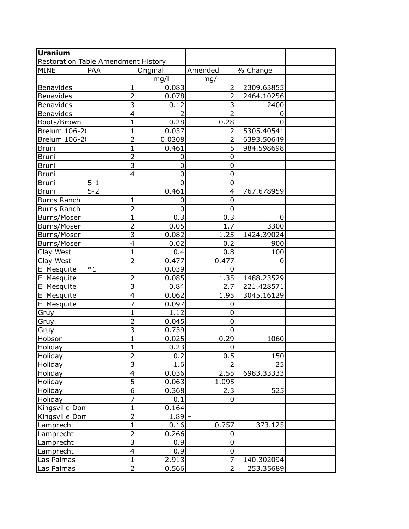| <b>Uranium</b>     |                                     |             |                |            |  |
|--------------------|-------------------------------------|-------------|----------------|------------|--|
|                    | Restoration Table Amendment History |             |                |            |  |
| <b>MINE</b>        | PAA                                 | Original    | Amended        | % Change   |  |
|                    |                                     | mg/l        | mg/l           |            |  |
| Benavides          | 1                                   | 0.083       | 2              | 2309.63855 |  |
| <b>Benavides</b>   | $\overline{2}$                      | 0.078       | 2              | 2464.10256 |  |
| <b>Benavides</b>   | 3                                   | 0.12        | 3              | 2400       |  |
| <b>Benavides</b>   | 4                                   | 2           | 2              | 0          |  |
| Boots/Brown        | 1                                   | 0.28        | 0.28           | 0          |  |
| Brelum 106-20      | $\mathbf 1$                         | 0.037       | 2              | 5305.40541 |  |
| Brelum 106-20      | $\overline{2}$                      | 0.0308      | $\overline{2}$ | 6393.50649 |  |
| Bruni              | 1                                   | 0.461       | 5              | 984.598698 |  |
| <b>Bruni</b>       | $\overline{2}$                      | 0           | 0              |            |  |
| <b>Bruni</b>       | $\overline{3}$                      | 0           | 0              |            |  |
| <b>Bruni</b>       | 4                                   | 0           | 0              |            |  |
| <b>Bruni</b>       | $5 - 1$                             | $\mathbf 0$ | $\mathbf 0$    |            |  |
| <b>Bruni</b>       | $5 - 2$                             | 0.461       | 4              | 767.678959 |  |
| <b>Burns Ranch</b> | 1                                   | 0           | 0              |            |  |
| <b>Burns Ranch</b> | $\overline{2}$                      | 0           | 0              |            |  |
| Burns/Moser        | $\mathbf{1}$                        | 0.3         | 0.3            | 0          |  |
| Burns/Moser        | $\overline{2}$                      | 0.05        | 1.7            | 3300       |  |
| Burns/Moser        | $\overline{\overline{3}}$           | 0.082       | 1.25           | 1424.39024 |  |
| Burns/Moser        | 4                                   | 0.02        | 0.2            | 900        |  |
| Clay West          | $\mathbf{1}$                        | 0.4         | 0.8            | 100        |  |
| Clay West          | $\overline{2}$                      | 0.477       | 0.477          | 0          |  |
| El Mesquite        | $*1$                                | 0.039       | 0              |            |  |
| El Mesquite        | $\overline{2}$                      | 0.085       | 1.35           | 1488.23529 |  |
| El Mesquite        | 3                                   | 0.84        | 2.7            | 221.428571 |  |
| El Mesquite        | 4                                   | 0.062       | 1.95           | 3045.16129 |  |
| El Mesquite        | 7                                   | 0.097       | 0              |            |  |
| Gruy               | 1                                   | 1.12        | 0              |            |  |
| Gruy               | $\overline{2}$                      | 0.045       | 0              |            |  |
| Gruy               | $\overline{3}$                      | 0.739       | 0              |            |  |
| Hobson             | 1                                   | 0.025       | 0.29           | 1060       |  |
| Holiday            | $\mathbf{1}$                        | 0.23        | 0              |            |  |
| Holiday            | $\overline{2}$                      | 0.2         | 0.5            | 150        |  |
| Holiday            | 3                                   | 1.6         | $\overline{2}$ | 25         |  |
| Holiday            | 4                                   | 0.036       | 2.55           | 6983.33333 |  |
| Holiday            | $\overline{5}$                      | 0.063       | 1.095          |            |  |
| Holiday            | $\overline{6}$                      | 0.368       | 2.3            | 525        |  |
| Holiday            | $\overline{7}$                      | 0.1         | $\Omega$       |            |  |
| Kingsville Dom     | $\mathbf{1}$                        | 0.164       |                |            |  |
| Kingsville Dom     | $\overline{2}$                      | 1.89        |                |            |  |
| Lamprecht          | $\mathbf 1$                         | 0.16        | 0.757          | 373.125    |  |
| Lamprecht          | $\overline{2}$                      | 0.266       | 0              |            |  |
| Lamprecht          | $\overline{3}$                      | 0.9         | 0              |            |  |
| Lamprecht          | $\overline{4}$                      | 0.9         | $\mathbf 0$    |            |  |
| Las Palmas         | $\mathbf{1}$                        | 2.913       | 7              | 140.302094 |  |
| Las Palmas         | $\overline{2}$                      | 0.566       | $\overline{2}$ | 253.35689  |  |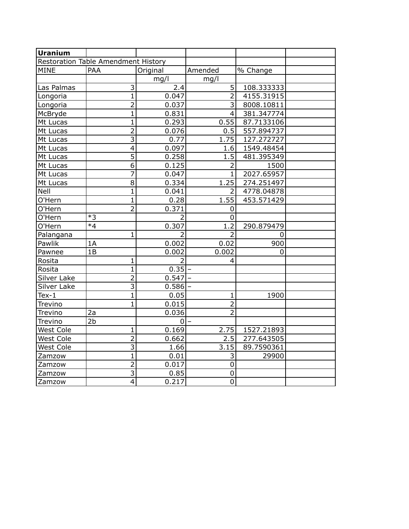| <b>Uranium</b>   |                                     |                |                |            |  |
|------------------|-------------------------------------|----------------|----------------|------------|--|
|                  | Restoration Table Amendment History |                |                |            |  |
| <b>MINE</b>      | <b>PAA</b>                          | Original       | Amended        | % Change   |  |
|                  |                                     | mg/l           | mg/l           |            |  |
| Las Palmas       | 3                                   | 2.4            | 5              | 108.333333 |  |
| Longoria         | $\overline{1}$                      | 0.047          | $\overline{2}$ | 4155.31915 |  |
| Longoria         | $\overline{2}$                      | 0.037          | $\overline{3}$ | 8008.10811 |  |
| McBryde          | $\mathbf 1$                         | 0.831          | 4              | 381.347774 |  |
| Mt Lucas         | 1                                   | 0.293          | 0.55           | 87.7133106 |  |
| Mt Lucas         | 2                                   | 0.076          | 0.5            | 557.894737 |  |
| Mt Lucas         | $\overline{3}$                      | 0.77           | 1.75           | 127.272727 |  |
| Mt Lucas         | $\overline{\mathbf{4}}$             | 0.097          | 1.6            | 1549.48454 |  |
| Mt Lucas         | $\overline{5}$                      | 0.258          | 1.5            | 481.395349 |  |
| Mt Lucas         | $\overline{6}$                      | 0.125          | $\overline{2}$ | 1500       |  |
| Mt Lucas         | $\overline{7}$                      | 0.047          | $\overline{1}$ | 2027.65957 |  |
| Mt Lucas         | 8                                   | 0.334          | 1.25           | 274.251497 |  |
| Nell             | $\mathbf{1}$                        | 0.041          | $\overline{2}$ | 4778.04878 |  |
| O'Hern           | $\mathbf{1}$                        | 0.28           | 1.55           | 453.571429 |  |
| O'Hern           | $\overline{2}$                      | 0.371          | 0              |            |  |
| O'Hern           | $*3$                                | $\overline{2}$ | 0              |            |  |
| O'Hern           | $*4$                                | 0.307          | 1.2            | 290.879479 |  |
| Palangana        | $\mathbf 1$                         | 2              | 2              | 0          |  |
| Pawlik           | 1A                                  | 0.002          | 0.02           | 900        |  |
| Pawnee           | 1B                                  | 0.002          | 0.002          | 0          |  |
| Rosita           | 1                                   | $\overline{2}$ | 4              |            |  |
| Rosita           | $\overline{1}$                      | 0.35           |                |            |  |
| Silver Lake      | $\overline{2}$                      | 0.547          |                |            |  |
| Silver Lake      | $\overline{\mathbf{3}}$             | $0.586$ -      |                |            |  |
| $Tex-1$          | $\mathbf{1}$                        | 0.05           | $\mathbf{1}$   | 1900       |  |
| Trevino          | $\mathbf{1}$                        | 0.015          | $\overline{2}$ |            |  |
| Trevino          | 2a                                  | 0.036          | $\overline{2}$ |            |  |
| Trevino          | 2 <sub>b</sub>                      | 01             |                |            |  |
| West Cole        | 1                                   | 0.169          | 2.75           | 1527.21893 |  |
| West Cole        | $\overline{2}$                      | 0.662          | 2.5            | 277.643505 |  |
| <b>West Cole</b> | $\overline{\mathsf{3}}$             | 1.66           | 3.15           | 89.7590361 |  |
| Zamzow           | $\mathbf 1$                         | 0.01           | 3              | 29900      |  |
| Zamzow           | $\overline{2}$                      | 0.017          | $\mathbf 0$    |            |  |
| Zamzow           | $\overline{\overline{3}}$           | 0.85           | $\mathbf 0$    |            |  |
| Zamzow           | $\overline{\mathcal{L}}$            | 0.217          | 0              |            |  |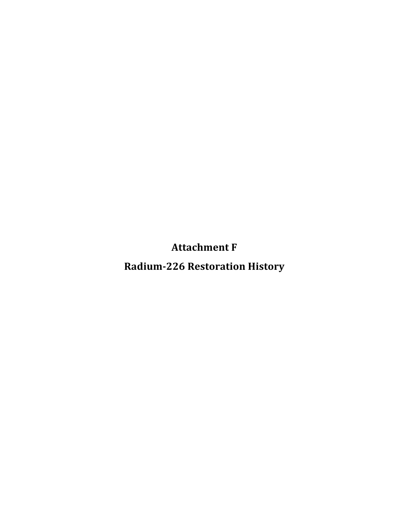**Attachment
F**

**Radium226
Restoration
History**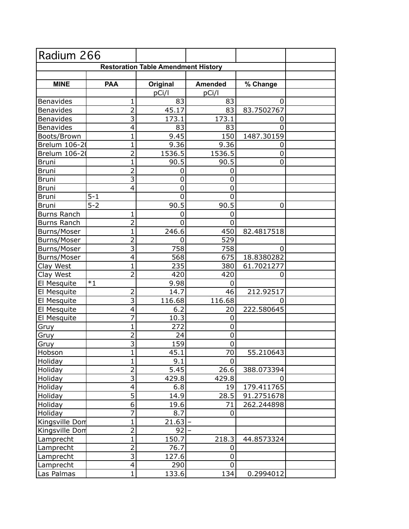| Radium 266         |                |                                            |                     |            |  |
|--------------------|----------------|--------------------------------------------|---------------------|------------|--|
|                    |                | <b>Restoration Table Amendment History</b> |                     |            |  |
|                    |                |                                            |                     |            |  |
| <b>MINE</b>        | <b>PAA</b>     | Original                                   | <b>Amended</b>      | % Change   |  |
|                    |                | pCi/l                                      | pCi/l               |            |  |
| <b>Benavides</b>   | 1              | 83                                         | 83                  | 0          |  |
| <b>Benavides</b>   | $\overline{2}$ | 45.17                                      | 83                  | 83.7502767 |  |
| Benavides          | $\overline{3}$ | 173.1                                      | $\overline{1}$ 73.1 | 0          |  |
| Benavides          | 4              | 83                                         | 83                  | $\Omega$   |  |
| Boots/Brown        | $\mathbf 1$    | 9.45                                       | 150                 | 1487.30159 |  |
| Brelum 106-20      | $\mathbf{1}$   | 9.36                                       | 9.36                | 0          |  |
| Brelum 106-20      | $\overline{2}$ | 1536.5                                     | 1536.5              | 0          |  |
| <b>Bruni</b>       | 1              | 90.5                                       | 90.5                | 0          |  |
| <b>Bruni</b>       | $\overline{2}$ | 0                                          | 0                   |            |  |
| <b>Bruni</b>       | $\overline{3}$ | $\mathbf 0$                                | $\mathbf 0$         |            |  |
| <b>Bruni</b>       | 4              | 0                                          | $\mathbf 0$         |            |  |
| <b>Bruni</b>       | $5 - 1$        | 0                                          | 0                   |            |  |
| <b>Bruni</b>       | $5 - 2$        | 90.5                                       | 90.5                | 0          |  |
| <b>Burns Ranch</b> | 1              | 0                                          | $\mathbf 0$         |            |  |
| <b>Burns Ranch</b> | $\overline{2}$ | 0                                          | $\Omega$            |            |  |
| Burns/Moser        | $\mathbf 1$    | 246.6                                      | 450                 | 82.4817518 |  |
| Burns/Moser        | $\overline{2}$ | $\mathbf 0$                                | 529                 |            |  |
| Burns/Moser        | $\overline{3}$ | 758                                        | 758                 | 0          |  |
| Burns/Moser        | 4              | 568                                        | 675                 | 18.8380282 |  |
| Clay West          | $\mathbf{1}$   | 235                                        | 380                 | 61.7021277 |  |
| Clay West          | $\overline{2}$ | 420                                        | 420                 | 0          |  |
| El Mesquite        | $*1$           | 9.98                                       | 0                   |            |  |
| El Mesquite        | $\overline{2}$ | 14.7                                       | 46                  | 212.92517  |  |
| El Mesquite        | $\overline{3}$ | 116.68                                     | 116.68              | 0          |  |
| El Mesquite        | 4              | 6.2                                        | 20                  | 222.580645 |  |
| El Mesquite        | 7              | 10.3                                       | 0                   |            |  |
| Gruy               | $\mathbf{1}$   | 272                                        | 0                   |            |  |
| Gruy               | $\overline{2}$ | 24                                         | 0                   |            |  |
| Gruy               | $\overline{3}$ | 159                                        | $\mathbf 0$         |            |  |
| Hobson             | $\mathbf 1$    | 45.1                                       | 70                  | 55.210643  |  |
| Holiday            | $\overline{1}$ | 9.1                                        | 0                   |            |  |
| Holiday            | $\overline{2}$ | 5.45                                       | 26.6                | 388.073394 |  |
| Holiday            | $\overline{3}$ | 429.8                                      | 429.8               | 0          |  |
| Holiday            | 4              | 6.8                                        | 19                  | 179.411765 |  |
| Holiday            | $\overline{5}$ | 14.9                                       | 28.5                | 91.2751678 |  |
| Holiday            | 6              | 19.6                                       | 71                  | 262.244898 |  |
| Holiday            | $\overline{7}$ | 8.7                                        | 0                   |            |  |
| Kingsville Dom     | $\mathbf{1}$   | 21.63                                      |                     |            |  |
| Kingsville Dom     | $\overline{2}$ | 92                                         |                     |            |  |
| Lamprecht          | $\mathbf{1}$   | 150.7                                      | 218.3               | 44.8573324 |  |
| Lamprecht          | $\overline{2}$ | 76.7                                       | 0                   |            |  |
| Lamprecht          | $\overline{3}$ | 127.6                                      | $\pmb{0}$           |            |  |
| Lamprecht          | $\overline{4}$ | 290                                        | $\mathbf 0$         |            |  |
| Las Palmas         | $\overline{1}$ | 133.6                                      | 134                 | 0.2994012  |  |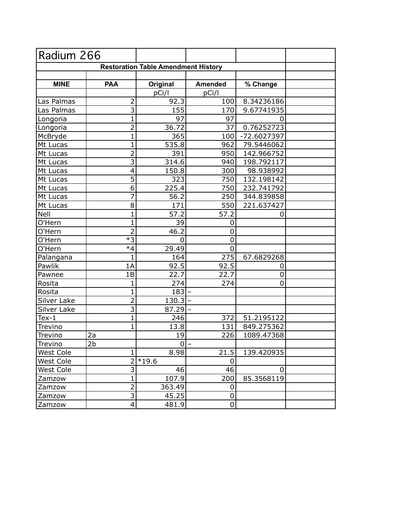| Radium 266                                 |                           |                |                |             |  |
|--------------------------------------------|---------------------------|----------------|----------------|-------------|--|
| <b>Restoration Table Amendment History</b> |                           |                |                |             |  |
|                                            |                           |                |                |             |  |
| <b>MINE</b>                                | <b>PAA</b>                | Original       | <b>Amended</b> | % Change    |  |
|                                            |                           | pCi/l          | pCi/l          |             |  |
| Las Palmas                                 | 2                         | 92.3           | 100            | 8.34236186  |  |
| Las Palmas                                 | $\overline{3}$            | 155            | 170            | 9.67741935  |  |
| Longoria                                   | $\mathbf{1}$              | 97             | 97             | 0           |  |
| Longoria                                   | $\overline{2}$            | 36.72          | 37             | 0.76252723  |  |
| McBryde                                    | $\mathbf 1$               | 365            | 100            | -72.6027397 |  |
| Mt Lucas                                   | $\mathbf 1$               | 535.8          | 962            | 79.5446062  |  |
| Mt Lucas                                   | $\overline{2}$            | 391            | 950            | 142.966752  |  |
| Mt Lucas                                   | $\overline{\overline{3}}$ | 314.6          | 940            | 198.792117  |  |
| Mt Lucas                                   | 4                         | 150.8          | 300            | 98.938992   |  |
| Mt Lucas                                   | $\overline{5}$            | 323            | 750            | 132.198142  |  |
| Mt Lucas                                   | $\overline{6}$            | 225.4          | 750            | 232.741792  |  |
| Mt Lucas                                   | $\overline{7}$            | 56.2           | 250            | 344.839858  |  |
| Mt Lucas                                   | 8                         | 171            | 550            | 221.637427  |  |
| Nell                                       | 1                         | 57.2           | 57.2           | 0           |  |
| O'Hern                                     | $\mathbf{1}$              | 39             | 0              |             |  |
| O'Hern                                     | $\overline{2}$            | 46.2           | 0              |             |  |
| O'Hern                                     | $*3$                      | 0              | 0              |             |  |
| O'Hern                                     | $*4$                      | 29.49          | 0              |             |  |
| Palangana                                  | $\mathbf{1}$              | 164            | 275            | 67.6829268  |  |
| Pawlik                                     | 1A                        | 92.5           | 92.5           | 0           |  |
| Pawnee                                     | 1B                        | 22.7           | 22.7           | 0           |  |
| Rosita                                     | 1                         | 274            | 274            | $\Omega$    |  |
| Rosita                                     | 1                         | 183            |                |             |  |
| Silver Lake                                | $\overline{2}$            | 130.3          |                |             |  |
| Silver Lake                                | $\overline{\overline{3}}$ | $87.29 -$      |                |             |  |
| $Text-1$                                   | $\mathbf 1$               | 246            | 372            | 51.2195122  |  |
| Trevino                                    | $\mathbf 1$               | 13.8           | 131            | 849.275362  |  |
| Trevino                                    | 2a                        | 19             | 226            | 1089.47368  |  |
| Trevino                                    | 2 <sub>b</sub>            | $\overline{0}$ |                |             |  |
| West Cole                                  | 1                         | 8.98           | 21.5           | 139.420935  |  |
| West Cole                                  | $\overline{2}$            | $*19.6$        | 0              |             |  |
| West Cole                                  | $\overline{3}$            | 46             | 46             | 0           |  |
| Zamzow                                     | $\mathbf 1$               | 107.9          | 200            | 85.3568119  |  |
| Zamzow                                     | $\overline{2}$            | 363.49         | 0              |             |  |
| Zamzow                                     | $\overline{3}$            | 45.25          | 0              |             |  |
| Zamzow                                     | $\overline{\mathbf{4}}$   | 481.9          | $\pmb{0}$      |             |  |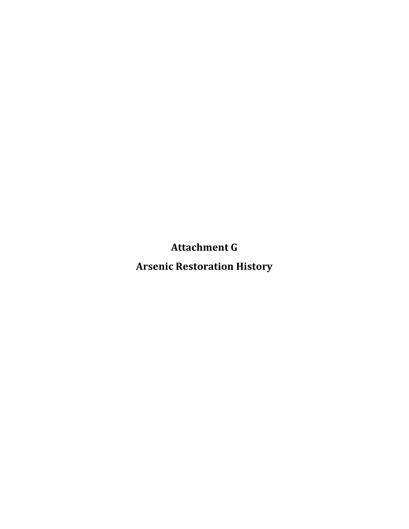**Attachment
G**

**Arsenic
Restoration
History**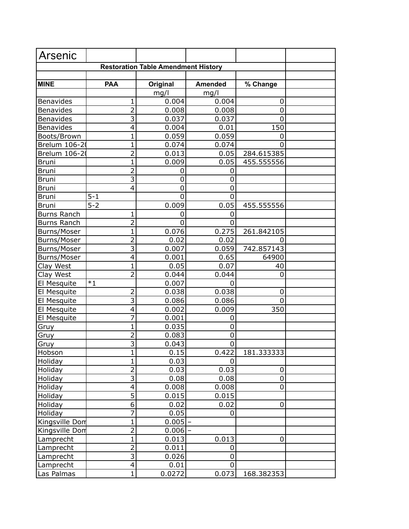| Arsenic            |                           |                                            |                |            |  |
|--------------------|---------------------------|--------------------------------------------|----------------|------------|--|
|                    |                           | <b>Restoration Table Amendment History</b> |                |            |  |
|                    |                           |                                            |                |            |  |
| <b>MINE</b>        | <b>PAA</b>                | Original                                   | <b>Amended</b> | % Change   |  |
|                    |                           | mg/l                                       | mg/l           |            |  |
| <b>Benavides</b>   | 1                         | 0.004                                      | 0.004          | 0          |  |
| <b>Benavides</b>   | 2                         | 0.008                                      | 0.008          | 0          |  |
| Benavides          | $\overline{\overline{3}}$ | 0.037                                      | 0.037          | $\Omega$   |  |
| Benavides          | 4                         | 0.004                                      | 0.01           | 150        |  |
| Boots/Brown        | 1                         | 0.059                                      | 0.059          | 0          |  |
| Brelum 106-20      | 1                         | 0.074                                      | 0.074          | 0          |  |
| Brelum 106-20      | $\overline{2}$            | 0.013                                      | 0.05           | 284.615385 |  |
| <b>Bruni</b>       | $\mathbf 1$               | 0.009                                      | 0.05           | 455.555556 |  |
| <b>Bruni</b>       | $\overline{2}$            | 0                                          | 0              |            |  |
| <b>Bruni</b>       | $\overline{3}$            | 0                                          | 0              |            |  |
| <b>Bruni</b>       | 4                         | $\mathbf 0$                                | $\mathbf 0$    |            |  |
| <b>Bruni</b>       | $5 - 1$                   | 0                                          | $\Omega$       |            |  |
| <b>Bruni</b>       | $5 - 2$                   | 0.009                                      | 0.05           | 455.555556 |  |
| <b>Burns Ranch</b> | 1                         | 0                                          | 0              |            |  |
| <b>Burns Ranch</b> | $\overline{2}$            | $\mathbf 0$                                | $\Omega$       |            |  |
| Burns/Moser        | 1                         | 0.076                                      | 0.275          | 261.842105 |  |
| Burns/Moser        | $\overline{2}$            | 0.02                                       | 0.02           | 0          |  |
| Burns/Moser        | $\overline{3}$            | 0.007                                      | 0.059          | 742.857143 |  |
| Burns/Moser        | 4                         | 0.001                                      | 0.65           | 64900      |  |
| Clay West          | $\mathbf 1$               | 0.05                                       | 0.07           | 40         |  |
| Clay West          | $\overline{2}$            | 0.044                                      | 0.044          | 0          |  |
| El Mesquite        | $*1$                      | 0.007                                      | 0              |            |  |
| El Mesquite        | $\overline{2}$            | 0.038                                      | 0.038          | 0          |  |
| El Mesquite        | 3                         | 0.086                                      | 0.086          | 0          |  |
| El Mesquite        | 4                         | 0.002                                      | 0.009          | 350        |  |
| El Mesquite        | 7                         | 0.001                                      | 0              |            |  |
| Gruy               | 1                         | 0.035                                      | 0              |            |  |
| Gruy               | $\overline{2}$            | 0.083                                      | 0              |            |  |
| Gruy               | $\overline{3}$            | 0.043                                      | 0              |            |  |
| Hobson             | 1                         | 0.15                                       | 0.422          | 181.333333 |  |
| Holiday            | $\overline{1}$            | 0.03                                       |                |            |  |
| Holiday            | $\overline{2}$            | 0.03                                       | 0.03           | 0          |  |
| Holiday            | $\overline{\overline{3}}$ | 0.08                                       | 0.08           | $\pmb{0}$  |  |
| Holiday            | $\overline{4}$            | 0.008                                      | 0.008          | 0          |  |
| Holiday            | $\overline{5}$            | 0.015                                      | 0.015          |            |  |
| Holiday            | $\overline{6}$            | 0.02                                       | 0.02           | 0          |  |
| Holiday            | $\overline{7}$            | 0.05                                       | 0              |            |  |
| Kingsville Don     | $\mathbf{1}$              | 0.005                                      |                |            |  |
| Kingsville Dom     | $\overline{2}$            | 0.006                                      |                |            |  |
| Lamprecht          | $\overline{1}$            | 0.013                                      | 0.013          | 0          |  |
| Lamprecht          | $\overline{2}$            | 0.011                                      | 0              |            |  |
| Lamprecht          | $\overline{3}$            | 0.026                                      | 0              |            |  |
| Lamprecht          | $\overline{4}$            | 0.01                                       | $\mathbf 0$    |            |  |
| Las Palmas         | $\overline{1}$            | 0.0272                                     | 0.073          | 168.382353 |  |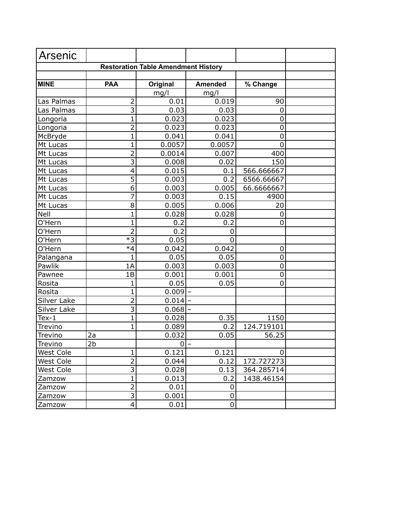| <b>Arsenic</b> |                     |                |                |             |  |
|----------------|---------------------|----------------|----------------|-------------|--|
|                |                     |                |                |             |  |
|                |                     |                |                |             |  |
| <b>MINE</b>    | <b>PAA</b>          | Original       | <b>Amended</b> | % Change    |  |
|                |                     | mg/l           | mg/l           |             |  |
| Las Palmas     | 2                   | 0.01           | 0.019          | 90          |  |
| Las Palmas     | 3                   | 0.03           | 0.03           | 0           |  |
| Longoria       | $\mathbf{1}$        | 0.023          | 0.023          | 0           |  |
| Longoria       | $\overline{2}$      | 0.023          | 0.023          | 0           |  |
| McBryde        | $\mathbf{1}$        | 0.041          | 0.041          | 0           |  |
| Mt Lucas       | $\mathbf{1}$        | 0.0057         | 0.0057         | 0           |  |
| Mt Lucas       | $\overline{2}$      | 0.0014         | 0.007          | 400         |  |
| Mt Lucas       | $\overline{3}$      | 0.008          | 0.02           | 150         |  |
| Mt Lucas       | 4                   | 0.015          | 0.1            | 566.666667  |  |
| Mt Lucas       | $\overline{5}$      | 0.003          | 0.2            | 6566.66667  |  |
| Mt Lucas       | $\overline{6}$      | 0.003          | 0.005          | 66.6666667  |  |
| Mt Lucas       | $\overline{7}$      | 0.003          | 0.15           | 4900        |  |
| Mt Lucas       | 8                   | 0.005          | 0.006          | 20          |  |
| Nell           | $\mathbf{1}$        | 0.028          | 0.028          | $\mathbf 0$ |  |
| O'Hern         | $\mathbf{1}$        | 0.2            | 0.2            | 0           |  |
| O'Hern         | $\overline{2}$      | 0.2            | 0              |             |  |
| O'Hern         | $\overline{\ast}$ 3 | 0.05           | 0              |             |  |
| O'Hern         | $*4$                | 0.042          | 0.042          | 0           |  |
| Palangana      | $\mathbf{1}$        | 0.05           | 0.05           | 0           |  |
| Pawlik         | 1A                  | 0.003          | 0.003          | 0           |  |
| Pawnee         | 1B                  | 0.001          | 0.001          | 0           |  |
| Rosita         | 1                   | 0.05           | 0.05           | 0           |  |
| Rosita         | $\mathbf{1}$        | 0.009          |                |             |  |
| Silver Lake    | $\overline{2}$      | 0.014          |                |             |  |
| Silver Lake    | $\overline{3}$      | 0.068          |                |             |  |
| Tex-1          | 1                   | 0.028          | 0.35           | 1150        |  |
| Trevino        | $\mathbf{1}$        | 0.089          | 0.2            | 124.719101  |  |
| Trevino        | 2a                  | 0.032          | 0.05           | 56.25       |  |
| Trevino        | 2 <sub>b</sub>      | $\overline{0}$ |                |             |  |
| West Cole      | 1                   | 0.121          | 0.121          | 0           |  |
| West Cole      | $\overline{2}$      | 0.044          | 0.12           | 172.727273  |  |
| West Cole      | 3                   | 0.028          | 0.13           | 364.285714  |  |
| Zamzow         | $\mathbf{1}$        | 0.013          | 0.2            | 1438.46154  |  |
| Zamzow         | $\overline{2}$      | 0.01           | 0              |             |  |
| Zamzow         | $\overline{3}$      | 0.001          | 0              |             |  |
| Zamzow         | $\overline{4}$      | 0.01           | $\pmb{0}$      |             |  |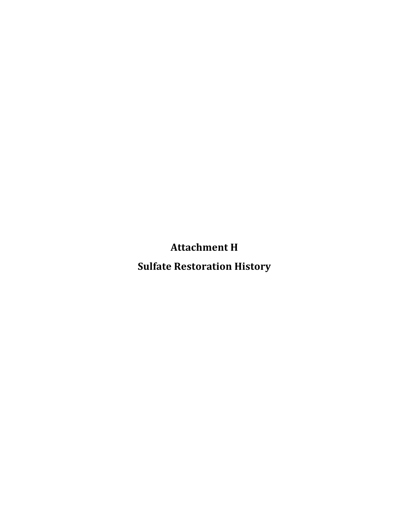**Attachment
H**

**Sulfate
Restoration
History**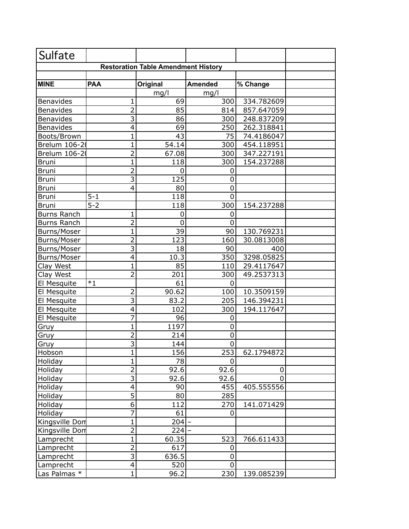| Sulfate            |                           |             |                |            |  |
|--------------------|---------------------------|-------------|----------------|------------|--|
|                    |                           |             |                |            |  |
|                    |                           |             |                |            |  |
| <b>MINE</b>        | <b>PAA</b>                | Original    | <b>Amended</b> | % Change   |  |
|                    |                           | mg/l        | mg/l           |            |  |
| Benavides          | 1                         | 69          | 300            | 334.782609 |  |
| Benavides          | $\overline{2}$            | 85          | 814            | 857.647059 |  |
| Benavides          | $\overline{3}$            | 86          | 300            | 248.837209 |  |
| Benavides          | 4                         | 69          | 250            | 262.318841 |  |
| Boots/Brown        | $\mathbf 1$               | 43          | 75             | 74.4186047 |  |
| Brelum 106-20      | $\overline{1}$            | 54.14       | 300            | 454.118951 |  |
| Brelum 106-20      | $\overline{2}$            | 67.08       | 300            | 347.227191 |  |
| <b>Bruni</b>       | $\mathbf 1$               | 118         | 300            | 154.237288 |  |
| <b>Bruni</b>       | $\overline{2}$            | $\mathbf 0$ | 0              |            |  |
| <b>Bruni</b>       | $\overline{3}$            | 125         | 0              |            |  |
| <b>Bruni</b>       | 4                         | 80          | 0              |            |  |
| <b>Bruni</b>       | $5 - 1$                   | 118         | 0              |            |  |
| <b>Bruni</b>       | $5 - 2$                   | 118         | 300            | 154.237288 |  |
| <b>Burns Ranch</b> | 1                         | 0           | 0              |            |  |
| <b>Burns Ranch</b> | $\overline{2}$            | 0           | 0              |            |  |
| Burns/Moser        | $\mathbf{1}$              | 39          | 90             | 130.769231 |  |
| Burns/Moser        | $\overline{2}$            | 123         | 160            | 30.0813008 |  |
| Burns/Moser        | $\overline{3}$            | 18          | 90             | 400        |  |
| Burns/Moser        | $\overline{\mathbf{4}}$   | 10.3        | 350            | 3298.05825 |  |
| Clay West          | $\mathbf{1}$              | 85          | 110            | 29.4117647 |  |
| Clay West          | $\overline{2}$            | 201         | 300            | 49.2537313 |  |
| El Mesquite        | $*1$                      | 61          | 0              |            |  |
| El Mesquite        | $\overline{2}$            | 90.62       | 100            | 10.3509159 |  |
| El Mesquite        | $\overline{\overline{3}}$ | 83.2        | 205            | 146.394231 |  |
| El Mesquite        | 4                         | 102         | 300            | 194.117647 |  |
| El Mesquite        | $\overline{7}$            | 96          | 0              |            |  |
| Gruy               | $\mathbf{1}$              | 1197        | 0              |            |  |
| Gruy               | $\overline{2}$            | 214         | $\mathbf 0$    |            |  |
| Gruy               | $\overline{3}$            | 144         | 0              |            |  |
| Hobson             | 1                         | 156         | 253            | 62.1794872 |  |
| Holiday            | $\overline{1}$            | 78          | 0              |            |  |
| Holiday            | $\overline{2}$            | 92.6        | 92.6           | 0          |  |
| Holiday            | $\overline{3}$            | 92.6        | 92.6           | 0          |  |
| Holiday            | 4                         | 90          | 455            | 405.555556 |  |
| Holiday            | $\overline{5}$            | 80          | 285            |            |  |
| Holiday            | 6                         | 112         | 270            | 141.071429 |  |
| Holiday            | $\overline{7}$            | 61          | 0              |            |  |
| Kingsville Dom     | $\mathbf{1}$              | 204         |                |            |  |
| Kingsville Don     | $\overline{c}$            | 224         |                |            |  |
| Lamprecht          | $\mathbf{1}$              | 60.35       | 523            | 766.611433 |  |
| Lamprecht          | $\overline{2}$            | 617         | 0              |            |  |
| Lamprecht          | $\overline{3}$            | 636.5       | $\pmb{0}$      |            |  |
| Lamprecht          | $\overline{4}$            | 520         | 0              |            |  |
| Las Palmas *       | $\overline{1}$            | 96.2        | 230            | 139.085239 |  |